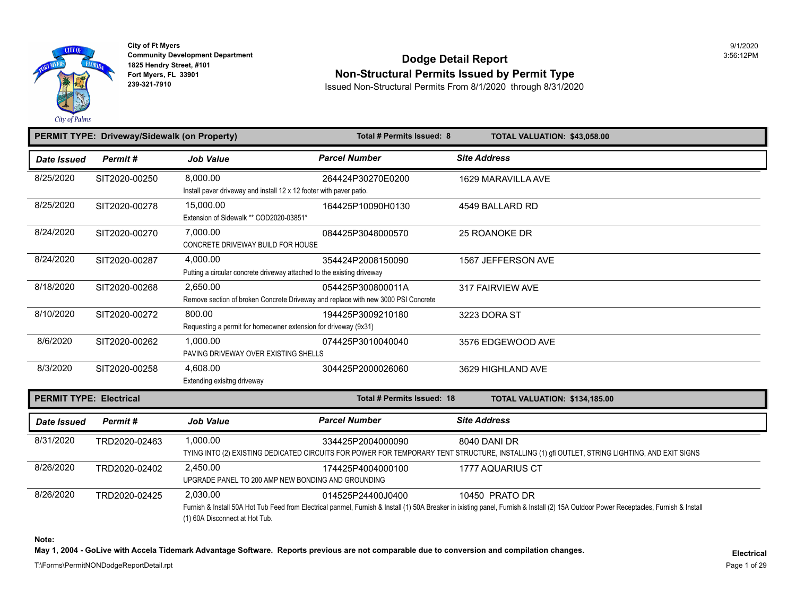

## **Community Development Department**<br>1825 Hendry Street, #101 **Dodge Detail Report** Fort Myers, FL 33901<br>Fort Myers, FL 33901 **Non-Structural Permits Issued by Permit Type**<br>239-321-7910 **Permits From 8/1/2020** through 8/31/2020

**239-321-7910** Issued Non-Structural Permits From 8/1/2020 through 8/31/2020

| PERMIT TYPE: Driveway/Sidewalk (on Property) |               | Total # Permits Issued: 8<br>TOTAL VALUATION: \$43,058.00                                     |                            |                                                                                                                                                                           |
|----------------------------------------------|---------------|-----------------------------------------------------------------------------------------------|----------------------------|---------------------------------------------------------------------------------------------------------------------------------------------------------------------------|
| <b>Date Issued</b>                           | Permit#       | <b>Job Value</b>                                                                              | <b>Parcel Number</b>       | <b>Site Address</b>                                                                                                                                                       |
| 8/25/2020                                    | SIT2020-00250 | 8.000.00<br>Install paver driveway and install 12 x 12 footer with paver patio.               | 264424P30270E0200          | 1629 MARAVILLA AVE                                                                                                                                                        |
| 8/25/2020                                    | SIT2020-00278 | 15.000.00<br>Extension of Sidewalk ** COD2020-03851*                                          | 164425P10090H0130          | 4549 BALLARD RD                                                                                                                                                           |
| 8/24/2020                                    | SIT2020-00270 | 7,000.00<br>CONCRETE DRIVEWAY BUILD FOR HOUSE                                                 | 084425P3048000570          | 25 ROANOKE DR                                                                                                                                                             |
| 8/24/2020                                    | SIT2020-00287 | 4.000.00<br>Putting a circular concrete driveway attached to the existing driveway            | 354424P2008150090          | 1567 JEFFERSON AVE                                                                                                                                                        |
| 8/18/2020                                    | SIT2020-00268 | 2,650.00<br>Remove section of broken Concrete Driveway and replace with new 3000 PSI Concrete | 054425P300800011A          | 317 FAIRVIEW AVE                                                                                                                                                          |
| 8/10/2020                                    | SIT2020-00272 | 800.00<br>Requesting a permit for homeowner extension for driveway (9x31)                     | 194425P3009210180          | 3223 DORA ST                                                                                                                                                              |
| 8/6/2020                                     | SIT2020-00262 | 1,000.00<br>PAVING DRIVEWAY OVER EXISTING SHELLS                                              | 074425P3010040040          | 3576 EDGEWOOD AVE                                                                                                                                                         |
| 8/3/2020                                     | SIT2020-00258 | 4,608.00<br>Extending exisitng driveway                                                       | 304425P2000026060          | 3629 HIGHLAND AVE                                                                                                                                                         |
| <b>PERMIT TYPE: Electrical</b>               |               |                                                                                               | Total # Permits Issued: 18 | TOTAL VALUATION: \$134,185.00                                                                                                                                             |
| Date Issued                                  | Permit#       | <b>Job Value</b>                                                                              | <b>Parcel Number</b>       | <b>Site Address</b>                                                                                                                                                       |
| 8/31/2020                                    | TRD2020-02463 | 1,000.00                                                                                      | 334425P2004000090          | <b>8040 DANI DR</b><br>TYING INTO (2) EXISTING DEDICATED CIRCUITS FOR POWER FOR TEMPORARY TENT STRUCTURE, INSTALLING (1) gfi OUTLET, STRING I                             |
| 8/26/2020                                    | TRD2020-02402 | 2.450.00<br>UPGRADE PANEL TO 200 AMP NEW BONDING AND GROUNDING                                | 174425P4004000100          | 1777 AQUARIUS CT                                                                                                                                                          |
| 8/26/2020                                    | TRD2020-02425 | 2,030.00<br>(1) 60A Disconnect at Hot Tub.                                                    | 014525P24400J0400          | 10450 PRATO DR<br>Furnish & Install 50A Hot Tub Feed from Electrical panmel, Furnish & Install (1) 50A Breaker in ixisting panel, Furnish & Install (2) 15A Outdoor Power |

**Note:** 

May 1, 2004 - GoLive with Accela Tidemark Advantage Software. Reports previous are not comparable due to conversion and compilation changes.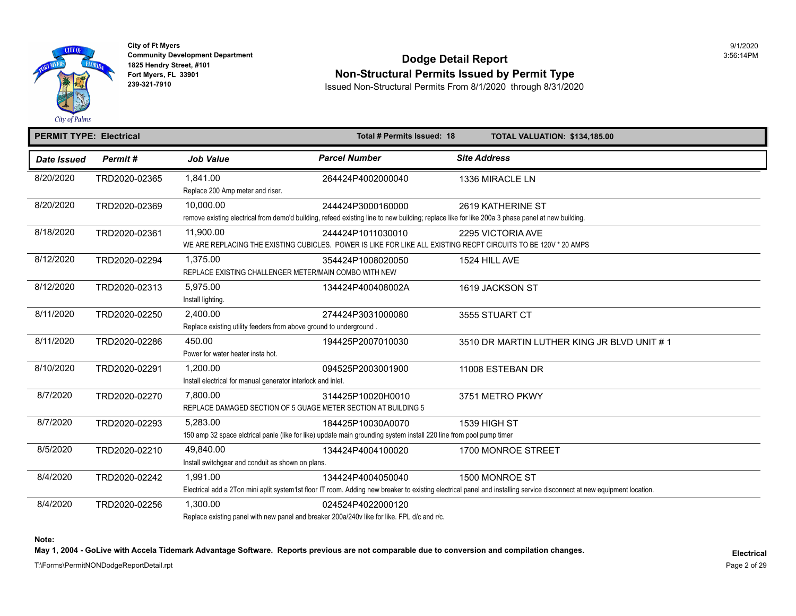

## **Community Development Department**<br>1825 Hendry Street, #101 Fort Myers, FL 33901<br>Fort Myers, FL 33901 **Non-Structural Permits Issued by Permit Type**<br>239-321-7910 **Permits From 8/1/2020** through 8/31/2020

**239-321-7910** Issued Non-Structural Permits From 8/1/2020 through 8/31/2020

|             | <b>PERMIT TYPE: Electrical</b> |                                                                                                                                                                       | Total # Permits Issued: 18 |                     | <b>TOTAL VALUATION: \$134,185.00</b> |
|-------------|--------------------------------|-----------------------------------------------------------------------------------------------------------------------------------------------------------------------|----------------------------|---------------------|--------------------------------------|
| Date Issued | Permit#                        | <b>Job Value</b>                                                                                                                                                      | <b>Parcel Number</b>       | <b>Site Address</b> |                                      |
| 8/20/2020   | TRD2020-02365                  | 1,841.00<br>Replace 200 Amp meter and riser.                                                                                                                          | 264424P4002000040          | 1336 MIRACLE LN     |                                      |
| 8/20/2020   | TRD2020-02369                  | 10,000.00<br>remove existing electrical from demo'd building, refeed existing line to new building; replace like for like 200a 3 phase panel at new building.         | 244424P3000160000          | 2619 KATHERINE ST   |                                      |
| 8/18/2020   | TRD2020-02361                  | 11,900.00<br>WE ARE REPLACING THE EXISTING CUBICLES. POWER IS LIKE FOR LIKE ALL EXISTING RECPT CIRCUITS TO BE 120V * 20 AMPS                                          | 244424P1011030010          | 2295 VICTORIA AVE   |                                      |
| 8/12/2020   | TRD2020-02294                  | 1.375.00<br>REPLACE EXISTING CHALLENGER METER/MAIN COMBO WITH NEW                                                                                                     | 354424P1008020050          | 1524 HILL AVE       |                                      |
| 8/12/2020   | TRD2020-02313                  | 5.975.00<br>Install lighting.                                                                                                                                         | 134424P400408002A          | 1619 JACKSON ST     |                                      |
| 8/11/2020   | TRD2020-02250                  | 2,400.00<br>Replace existing utility feeders from above ground to underground.                                                                                        | 274424P3031000080          | 3555 STUART CT      |                                      |
| 8/11/2020   | TRD2020-02286                  | 450.00<br>Power for water heater insta hot.                                                                                                                           | 194425P2007010030          |                     | 3510 DR MARTIN LUTHER KING JR B      |
| 8/10/2020   | TRD2020-02291                  | 1.200.00<br>Install electrical for manual generator interlock and inlet.                                                                                              | 094525P2003001900          | 11008 ESTEBAN DR    |                                      |
| 8/7/2020    | TRD2020-02270                  | 7.800.00<br>REPLACE DAMAGED SECTION OF 5 GUAGE METER SECTION AT BUILDING 5                                                                                            | 314425P10020H0010          | 3751 METRO PKWY     |                                      |
| 8/7/2020    | TRD2020-02293                  | 5,283.00<br>150 amp 32 space elctrical panle (like for like) update main grounding system install 220 line from pool pump timer                                       | 184425P10030A0070          | 1539 HIGH ST        |                                      |
| 8/5/2020    | TRD2020-02210                  | 49,840.00<br>Install switchgear and conduit as shown on plans.                                                                                                        | 134424P4004100020          | 1700 MONROE STREET  |                                      |
| 8/4/2020    | TRD2020-02242                  | 1.991.00<br>Electrical add a 2Ton mini aplit system1st floor IT room. Adding new breaker to existing electrical panel and installing service disconnect at new equipr | 134424P4004050040          | 1500 MONROE ST      |                                      |
| 8/4/2020    | TRD2020-02256                  | 1,300.00<br>Replace existing panel with new panel and breaker 200a/240v like for like. FPL d/c and r/c.                                                               | 024524P4022000120          |                     |                                      |

**Note:** 

May 1, 2004 - GoLive with Accela Tidemark Advantage Software. Reports previous are not comparable due to conversion and compilation changes.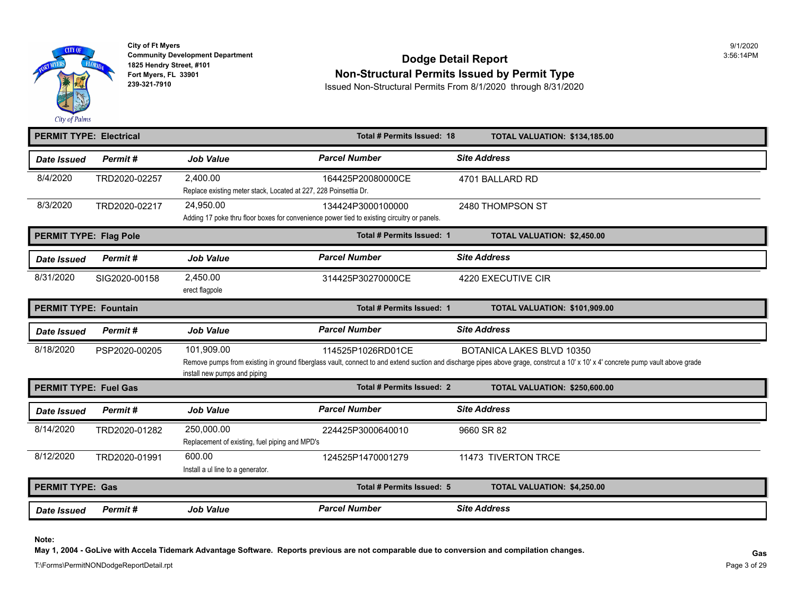

# **Community Development Department**<br>1825 Hendry Street, #101 Fort Myers, FL 33901<br>Fort Myers, FL 33901 **Non-Structural Permits Issued by Permit Type**<br>239-321-7910 **Permits From 8/1/2020** through 8/31/2020

**239-321-7910** Issued Non-Structural Permits From 8/1/2020 through 8/31/2020

| <b>PERMIT TYPE: Electrical</b><br>Total # Permits Issued: 18 |               |                                                                              | <b>TOTAL VALUATION: \$134,185.00</b>                                                                             |                                                                                                                                                                                          |
|--------------------------------------------------------------|---------------|------------------------------------------------------------------------------|------------------------------------------------------------------------------------------------------------------|------------------------------------------------------------------------------------------------------------------------------------------------------------------------------------------|
| Date Issued                                                  | Permit#       | <b>Job Value</b>                                                             | <b>Parcel Number</b>                                                                                             | <b>Site Address</b>                                                                                                                                                                      |
| 8/4/2020                                                     | TRD2020-02257 | 2,400.00<br>Replace existing meter stack, Located at 227, 228 Poinsettia Dr. | 164425P20080000CE                                                                                                | 4701 BALLARD RD                                                                                                                                                                          |
| 8/3/2020                                                     | TRD2020-02217 | 24,950.00                                                                    | 134424P3000100000<br>Adding 17 poke thru floor boxes for convenience power tied to existing circuitry or panels. | 2480 THOMPSON ST                                                                                                                                                                         |
| <b>PERMIT TYPE: Flag Pole</b>                                |               |                                                                              | Total # Permits Issued: 1                                                                                        | <b>TOTAL VALUATION: \$2,450.00</b>                                                                                                                                                       |
| Date Issued                                                  | Permit#       | <b>Job Value</b>                                                             | <b>Parcel Number</b>                                                                                             | <b>Site Address</b>                                                                                                                                                                      |
| 8/31/2020                                                    | SIG2020-00158 | 2,450.00<br>erect flagpole                                                   | 314425P30270000CE                                                                                                | 4220 EXECUTIVE CIR                                                                                                                                                                       |
| <b>PERMIT TYPE: Fountain</b>                                 |               |                                                                              | Total # Permits Issued: 1                                                                                        | TOTAL VALUATION: \$101,909.00                                                                                                                                                            |
| <b>Date Issued</b>                                           | Permit#       | <b>Job Value</b>                                                             | <b>Parcel Number</b>                                                                                             | <b>Site Address</b>                                                                                                                                                                      |
| 8/18/2020                                                    | PSP2020-00205 | 101.909.00<br>install new pumps and piping                                   | 114525P1026RD01CE                                                                                                | <b>BOTANICA LAKES BLVD 10350</b><br>Remove pumps from existing in ground fiberglass vault, connect to and extend suction and discharge pipes above grage, constrcut a 10' x 10' x 4' con |
| <b>PERMIT TYPE: Fuel Gas</b>                                 |               |                                                                              | Total # Permits Issued: 2                                                                                        | <b>TOTAL VALUATION: \$250,600.00</b>                                                                                                                                                     |
| Date Issued                                                  | Permit#       | <b>Job Value</b>                                                             | <b>Parcel Number</b>                                                                                             | <b>Site Address</b>                                                                                                                                                                      |
| 8/14/2020                                                    | TRD2020-01282 | 250,000.00<br>Replacement of existing, fuel piping and MPD's                 | 224425P3000640010                                                                                                | 9660 SR 82                                                                                                                                                                               |
| 8/12/2020                                                    | TRD2020-01991 | 600.00<br>Install a ul line to a generator.                                  | 124525P1470001279                                                                                                | 11473 TIVERTON TRCE                                                                                                                                                                      |
| <b>PERMIT TYPE: Gas</b>                                      |               |                                                                              | Total # Permits Issued: 5                                                                                        | TOTAL VALUATION: \$4,250.00                                                                                                                                                              |
| <b>Date Issued</b>                                           | Permit#       | <b>Job Value</b>                                                             | <b>Parcel Number</b>                                                                                             | <b>Site Address</b>                                                                                                                                                                      |

**Note:** 

**May 1, 2004 - GoLive with Accela Tidemark Advantage Software. Reports previous are not comparable due to conversion and compilation changes. Gas**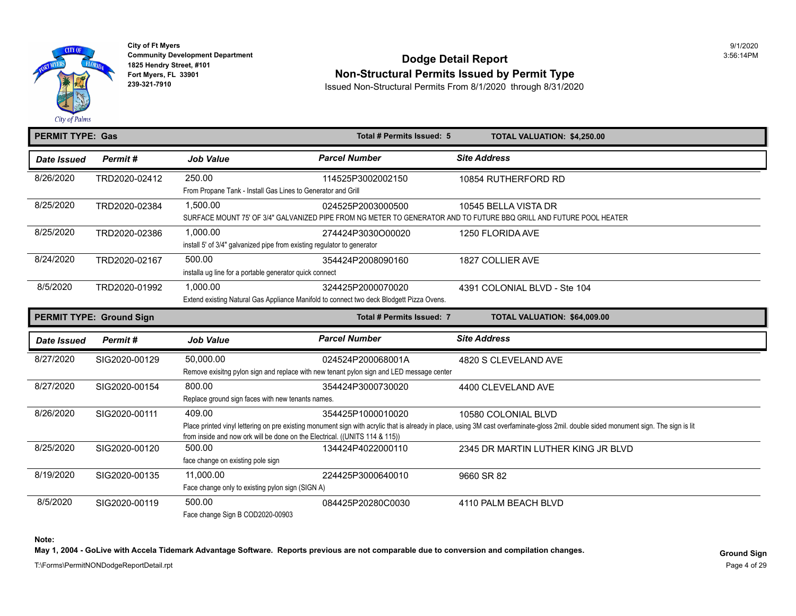

# **Community Development Department**<br>1825 Hendry Street, #101 Fort Myers, FL 33901<br>Fort Myers, FL 33901 **Non-Structural Permits Issued by Permit Type**<br>239-321-7910 **Bester Contained Bermits From 8/1/2020** through 8/31/202

**239-321-7910** Issued Non-Structural Permits From 8/1/2020 through 8/31/2020

| <b>PERMIT TYPE: Gas</b> |                                 |                                                                                                      | Total # Permits Issued: 5                                                                                     | <b>TOTAL VALUATION: \$4,250.00</b>                                                                                                                                               |
|-------------------------|---------------------------------|------------------------------------------------------------------------------------------------------|---------------------------------------------------------------------------------------------------------------|----------------------------------------------------------------------------------------------------------------------------------------------------------------------------------|
| <b>Date Issued</b>      | Permit#                         | <b>Job Value</b>                                                                                     | <b>Parcel Number</b>                                                                                          | <b>Site Address</b>                                                                                                                                                              |
| 8/26/2020               | TRD2020-02412                   | 250.00<br>From Propane Tank - Install Gas Lines to Generator and Grill                               | 114525P3002002150                                                                                             | 10854 RUTHERFORD RD                                                                                                                                                              |
| 8/25/2020               | TRD2020-02384                   | 1,500.00                                                                                             | 024525P2003000500                                                                                             | 10545 BELLA VISTA DR<br>SURFACE MOUNT 75' OF 3/4" GALVANIZED PIPE FROM NG METER TO GENERATOR AND TO FUTURE BBQ GRILL AND FUTURE POOL HEA                                         |
| 8/25/2020               | TRD2020-02386                   | 1,000.00<br>install 5' of 3/4" galvanized pipe from existing regulator to generator                  | 274424P3030O00020                                                                                             | 1250 FLORIDA AVE                                                                                                                                                                 |
| 8/24/2020               | TRD2020-02167                   | 500.00<br>installa ug line for a portable generator quick connect                                    | 354424P2008090160                                                                                             | 1827 COLLIER AVE                                                                                                                                                                 |
| 8/5/2020                | TRD2020-01992                   | 1,000.00<br>Extend existing Natural Gas Appliance Manifold to connect two deck Blodgett Pizza Ovens. | 4391 COLONIAL BLVD - Ste 104                                                                                  |                                                                                                                                                                                  |
|                         | <b>PERMIT TYPE: Ground Sign</b> |                                                                                                      | <b>Total # Permits Issued: 7</b>                                                                              | TOTAL VALUATION: \$64,009.00                                                                                                                                                     |
|                         |                                 |                                                                                                      |                                                                                                               |                                                                                                                                                                                  |
| Date Issued             | Permit#                         | <b>Job Value</b>                                                                                     | <b>Parcel Number</b>                                                                                          | <b>Site Address</b>                                                                                                                                                              |
| 8/27/2020               | SIG2020-00129                   | 50,000.00                                                                                            | 024524P200068001A<br>Remove exisitng pylon sign and replace with new tenant pylon sign and LED message center | 4820 S CLEVELAND AVE                                                                                                                                                             |
| 8/27/2020               | SIG2020-00154                   | 800.00<br>Replace ground sign faces with new tenants names.                                          | 354424P3000730020                                                                                             | 4400 CLEVELAND AVE                                                                                                                                                               |
| 8/26/2020               | SIG2020-00111                   | 409.00<br>from inside and now ork will be done on the Electrical. ((UNITS 114 & 115))                | 354425P1000010020                                                                                             | 10580 COLONIAL BLVD<br>Place printed vinyl lettering on pre existing monument sign with acrylic that is already in place, using 3M cast overfaminate-gloss 2mil. double sided mo |
| 8/25/2020               | SIG2020-00120                   | 500.00<br>face change on existing pole sign                                                          | 134424P4022000110                                                                                             | 2345 DR MARTIN LUTHER KING JR B                                                                                                                                                  |
| 8/19/2020               | SIG2020-00135                   | 11.000.00<br>Face change only to existing pylon sign (SIGN A)                                        | 224425P3000640010                                                                                             | 9660 SR 82                                                                                                                                                                       |

**Note:** 

May 1, 2004 - GoLive with Accela Tidemark Advantage Software. Reports previous are not comparable due to conversion and compilation changes.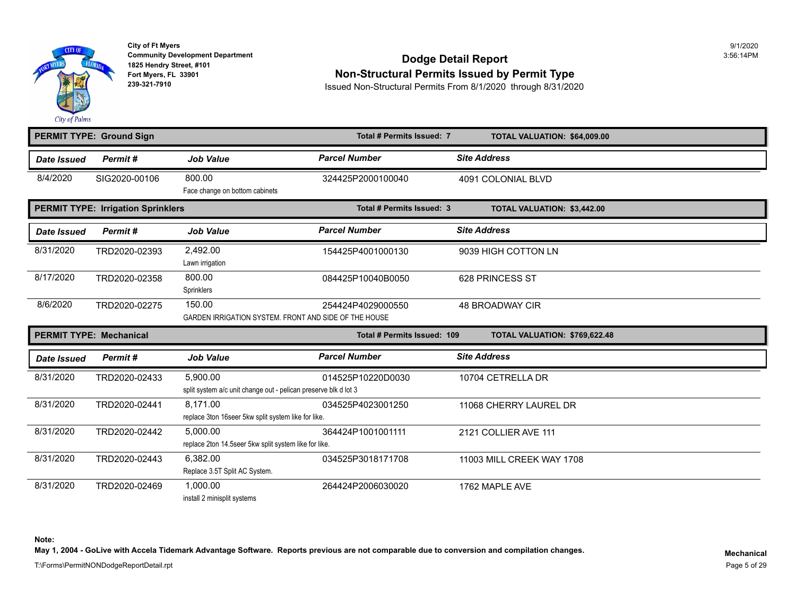

## **Community Development Department**<br>1825 Hendry Street, #101 Fort Myers, FL 33901<br>Fort Myers, FL 33901 **Non-Structural Permits Issued by Permit Type**<br>239-321-7910 **Permits From 8/1/2020** through 8/31/2020

**239-321-7910** Issued Non-Structural Permits From 8/1/2020 through 8/31/2020

|                    | <b>PERMIT TYPE: Ground Sign</b>           |                                                                             | Total # Permits Issued: 7   | TOTAL VALUATION: \$64,009.00       |
|--------------------|-------------------------------------------|-----------------------------------------------------------------------------|-----------------------------|------------------------------------|
| <b>Date Issued</b> | Permit#                                   | <b>Job Value</b>                                                            | <b>Parcel Number</b>        | <b>Site Address</b>                |
| 8/4/2020           | SIG2020-00106                             | 800.00<br>Face change on bottom cabinets                                    | 324425P2000100040           | 4091 COLONIAL BLVD                 |
|                    | <b>PERMIT TYPE: Irrigation Sprinklers</b> |                                                                             | Total # Permits Issued: 3   | <b>TOTAL VALUATION: \$3,442.00</b> |
| <b>Date Issued</b> | Permit#                                   | <b>Job Value</b>                                                            | <b>Parcel Number</b>        | <b>Site Address</b>                |
| 8/31/2020          | TRD2020-02393                             | 2,492.00<br>Lawn irrigation                                                 | 154425P4001000130           | 9039 HIGH COTTON LN                |
| 8/17/2020          | TRD2020-02358                             | 800.00<br>Sprinklers                                                        | 084425P10040B0050           | 628 PRINCESS ST                    |
| 8/6/2020           | TRD2020-02275                             | 150.00<br>GARDEN IRRIGATION SYSTEM. FRONT AND SIDE OF THE HOUSE             | 254424P4029000550           | <b>48 BROADWAY CIR</b>             |
|                    | <b>PERMIT TYPE: Mechanical</b>            |                                                                             | Total # Permits Issued: 109 | TOTAL VALUATION: \$769,622.48      |
| Date Issued        | Permit#                                   | <b>Job Value</b>                                                            | <b>Parcel Number</b>        | <b>Site Address</b>                |
| 8/31/2020          | TRD2020-02433                             | 5,900.00<br>split system a/c unit change out - pelican preserve blk d lot 3 | 014525P10220D0030           | 10704 CETRELLA DR                  |
| 8/31/2020          | TRD2020-02441                             | 8.171.00<br>replace 3ton 16seer 5kw split system like for like.             | 034525P4023001250           | 11068 CHERRY LAUREL DR             |
| 8/31/2020          | TRD2020-02442                             | 5.000.00<br>replace 2ton 14.5seer 5kw split system like for like.           | 364424P1001001111           | 2121 COLLIER AVE 111               |
| 8/31/2020          | TRD2020-02443                             | 6,382.00<br>Replace 3.5T Split AC System.                                   | 034525P3018171708           | 11003 MILL CREEK WAY 1708          |
| 8/31/2020          | TRD2020-02469                             | 1.000.00<br>install 2 minisplit systems                                     | 264424P2006030020           | 1762 MAPLE AVE                     |

**Note:** 

**May 1, 2004 - GoLive with Accela Tidemark Advantage Software. Reports previous are not comparable due to conversion and compilation changes.**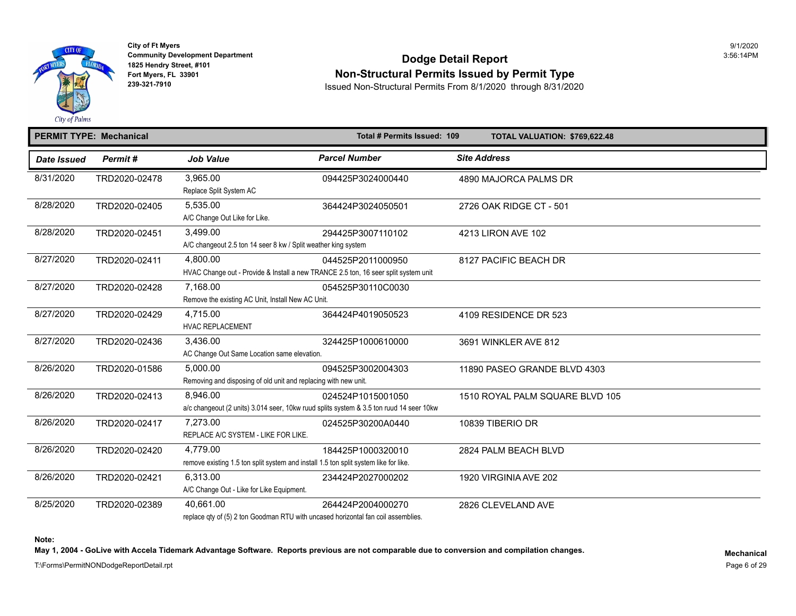

## **Community Development Department**<br>1825 Hendry Street, #101 Fort Myers, FL 33901<br>Fort Myers, FL 33901 **Non-Structural Permits Issued by Permit Type**<br>239-321-7910 **Permits From 8/1/2020** through 8/31/2020

**239-321-7910** Issued Non-Structural Permits From 8/1/2020 through 8/31/2020

|             | <b>PERMIT TYPE: Mechanical</b> |                                                                                                  | Total # Permits Issued: 109                                                                                  | TOTAL VALUATION: \$769,622.48  |
|-------------|--------------------------------|--------------------------------------------------------------------------------------------------|--------------------------------------------------------------------------------------------------------------|--------------------------------|
| Date Issued | Permit#                        | <b>Job Value</b>                                                                                 | <b>Parcel Number</b>                                                                                         | <b>Site Address</b>            |
| 8/31/2020   | TRD2020-02478                  | 3,965.00<br>Replace Split System AC                                                              | 094425P3024000440                                                                                            | 4890 MAJORCA PALMS DR          |
| 8/28/2020   | TRD2020-02405                  | 5.535.00<br>A/C Change Out Like for Like.                                                        | 364424P3024050501                                                                                            | 2726 OAK RIDGE CT - 501        |
| 8/28/2020   | TRD2020-02451                  | 3,499.00<br>A/C changeout 2.5 ton 14 seer 8 kw / Split weather king system                       | 294425P3007110102                                                                                            | 4213 LIRON AVE 102             |
| 8/27/2020   | TRD2020-02411                  | 4.800.00<br>HVAC Change out - Provide & Install a new TRANCE 2.5 ton, 16 seer split system unit  | 044525P2011000950                                                                                            | 8127 PACIFIC BEACH DR          |
| 8/27/2020   | TRD2020-02428                  | 7,168.00<br>Remove the existing AC Unit, Install New AC Unit.                                    | 054525P30110C0030                                                                                            |                                |
| 8/27/2020   | TRD2020-02429                  | 4.715.00<br><b>HVAC REPLACEMENT</b>                                                              | 364424P4019050523                                                                                            | 4109 RESIDENCE DR 523          |
| 8/27/2020   | TRD2020-02436                  | 3.436.00<br>AC Change Out Same Location same elevation.                                          | 324425P1000610000                                                                                            | 3691 WINKLER AVE 812           |
| 8/26/2020   | TRD2020-01586                  | 5,000.00<br>Removing and disposing of old unit and replacing with new unit.                      | 094525P3002004303                                                                                            | 11890 PASEO GRANDE BLVD 4303   |
| 8/26/2020   | TRD2020-02413                  | 8,946.00                                                                                         | 024524P1015001050<br>a/c changeout (2 units) 3.014 seer, 10kw ruud splits system & 3.5 ton ruud 14 seer 10kw | 1510 ROYAL PALM SQUARE BLVD 10 |
| 8/26/2020   | TRD2020-02417                  | 7,273.00<br>REPLACE A/C SYSTEM - LIKE FOR LIKE.                                                  | 024525P30200A0440                                                                                            | 10839 TIBERIO DR               |
| 8/26/2020   | TRD2020-02420                  | 4.779.00<br>remove existing 1.5 ton split system and install 1.5 ton split system like for like. | 184425P1000320010                                                                                            | 2824 PALM BEACH BLVD           |
| 8/26/2020   | TRD2020-02421                  | 6,313.00<br>A/C Change Out - Like for Like Equipment.                                            | 234424P2027000202                                                                                            | 1920 VIRGINIA AVE 202          |
| 8/25/2020   | TRD2020-02389                  | 40,661.00                                                                                        | 264424P2004000270                                                                                            | 2826 CLEVELAND AVE             |

replace qty of (5) 2 ton Goodman RTU with uncased horizontal fan coil assemblies.

**Note:** 

May 1, 2004 - GoLive with Accela Tidemark Advantage Software. Reports previous are not comparable due to conversion and compilation changes.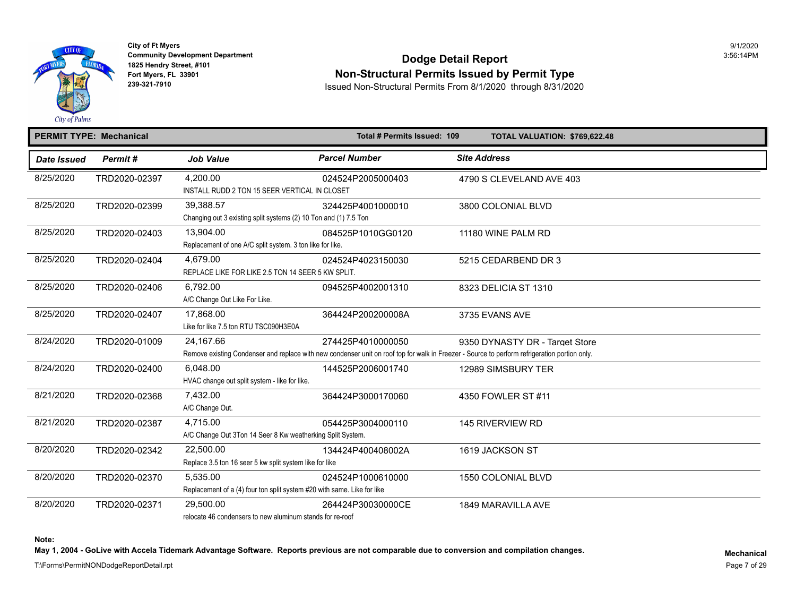

## **Community Development Department**<br>1825 Hendry Street, #101 Fort Myers, FL 33901<br>Fort Myers, FL 33901 **Non-Structural Permits Issued by Permit Type**<br>239-321-7910 **Permits From 8/1/2020** through 8/31/2020

**239-321-7910** Issued Non-Structural Permits From 8/1/2020 through 8/31/2020

|             | <b>PERMIT TYPE: Mechanical</b> |                                                                                     | Total # Permits Issued: 109 | TOTAL VALUATION: \$769,622.48                                                                                                                                                   |
|-------------|--------------------------------|-------------------------------------------------------------------------------------|-----------------------------|---------------------------------------------------------------------------------------------------------------------------------------------------------------------------------|
| Date Issued | Permit#                        | <b>Job Value</b>                                                                    | <b>Parcel Number</b>        | <b>Site Address</b>                                                                                                                                                             |
| 8/25/2020   | TRD2020-02397                  | 4,200.00<br>INSTALL RUDD 2 TON 15 SEER VERTICAL IN CLOSET                           | 024524P2005000403           | 4790 S CLEVELAND AVE 403                                                                                                                                                        |
| 8/25/2020   | TRD2020-02399                  | 39.388.57<br>Changing out 3 existing split systems (2) 10 Ton and (1) 7.5 Ton       | 324425P4001000010           | 3800 COLONIAL BLVD                                                                                                                                                              |
| 8/25/2020   | TRD2020-02403                  | 13.904.00<br>Replacement of one A/C split system. 3 ton like for like.              | 084525P1010GG0120           | 11180 WINE PALM RD                                                                                                                                                              |
| 8/25/2020   | TRD2020-02404                  | 4.679.00<br>REPLACE LIKE FOR LIKE 2.5 TON 14 SEER 5 KW SPLIT.                       | 024524P4023150030           | 5215 CEDARBEND DR 3                                                                                                                                                             |
| 8/25/2020   | TRD2020-02406                  | 6,792.00<br>A/C Change Out Like For Like.                                           | 094525P4002001310           | 8323 DELICIA ST 1310                                                                                                                                                            |
| 8/25/2020   | TRD2020-02407                  | 17,868.00<br>Like for like 7.5 ton RTU TSC090H3E0A                                  | 364424P200200008A           | 3735 EVANS AVE                                                                                                                                                                  |
| 8/24/2020   | TRD2020-01009                  | 24,167.66                                                                           | 274425P4010000050           | 9350 DYNASTY DR - Target Store<br>Remove existing Condenser and replace with new condenser unit on roof top for walk in Freezer - Source to perform refrigeration portion only. |
| 8/24/2020   | TRD2020-02400                  | 6.048.00<br>HVAC change out split system - like for like.                           | 144525P2006001740           | 12989 SIMSBURY TER                                                                                                                                                              |
| 8/21/2020   | TRD2020-02368                  | 7.432.00<br>A/C Change Out.                                                         | 364424P3000170060           | 4350 FOWLER ST #11                                                                                                                                                              |
| 8/21/2020   | TRD2020-02387                  | 4,715.00<br>A/C Change Out 3Ton 14 Seer 8 Kw weatherking Split System.              | 054425P3004000110           | <b>145 RIVERVIEW RD</b>                                                                                                                                                         |
| 8/20/2020   | TRD2020-02342                  | 22,500.00<br>Replace 3.5 ton 16 seer 5 kw split system like for like                | 134424P400408002A           | 1619 JACKSON ST                                                                                                                                                                 |
| 8/20/2020   | TRD2020-02370                  | 5,535.00<br>Replacement of a (4) four ton split system #20 with same. Like for like | 024524P1000610000           | 1550 COLONIAL BLVD                                                                                                                                                              |
| 8/20/2020   | TRD2020-02371                  | 29.500.00<br>relegate 10 condensers to nour aluminum stands for re-reaf             | 264424P30030000CE           | 1849 MARAVILLA AVE                                                                                                                                                              |

relocate 46 condensers to new aluminum stands for re-roof

**Note:** 

May 1, 2004 - GoLive with Accela Tidemark Advantage Software. Reports previous are not comparable due to conversion and compilation changes.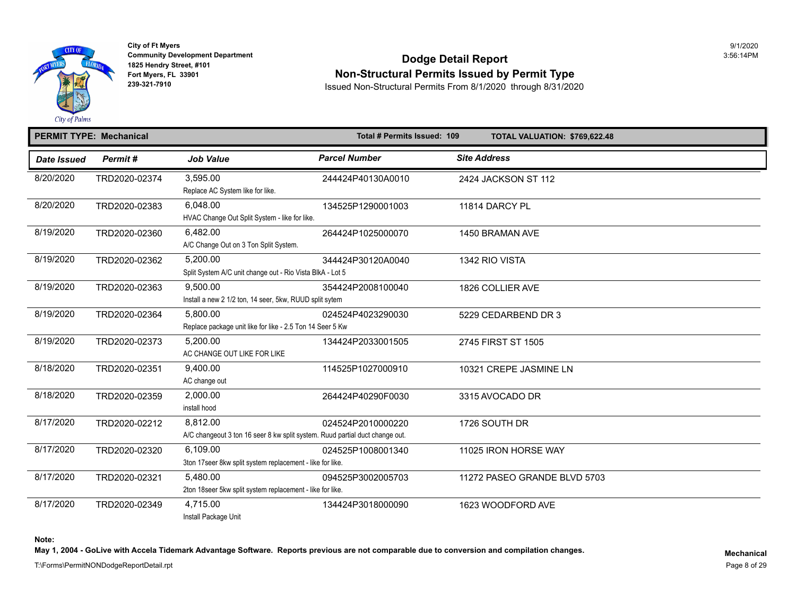

## Community Development Department<br>1825 Hendry Street, #101 **Dodge Detail Report** Fort Myers, FL 33901 **Non-Structural Permits Issued by Permit Type**<br>239-321-7910 **Non-Structural Permits From 8/1/2020** through 8/31/2020

**239-321-7910** Issued Non-Structural Permits From 8/1/2020 through 8/31/2020

#### **PERMIT TYPE: Mechanical Total # Permits Issued: 109 TOTAL VALUATION: \$769,622.48**  *Date Issued Permit # Job Value Parcel Number Site Address*  8/20/2020 TRD2020-02374 3,595.00 244424P40130A0010 2424 JACKSON ST 112 Replace AC System like for like. 8/20/2020 TRD2020-02383 6,048.00 134525P1290001003 11814 DARCY PL HVAC Change Out Split System - like for like. 8/19/2020 TRD2020-02360 6,482.00 264424P1025000070 1450 BRAMAN AVE A/C Change Out on 3 Ton Split System. 8/19/2020 TRD2020-02362 5,200.00 344424P30120A0040 1342 RIO VISTA Split System A/C unit change out - Rio Vista BlkA - Lot 5 8/19/2020 TRD2020-02363 9,500.00 354424P2008100040 1826 COLLIER AVE Install a new 2 1/2 ton, 14 seer, 5kw, RUUD split sytem 8/19/2020 TRD2020-02364 5,800.00 024524P4023290030 5229 CEDARBEND DR 3 Replace package unit like for like - 2.5 Ton 14 Seer 5 Kw 8/19/2020 TRD2020-02373 5,200.00 134424P2033001505 2745 FIRST ST 1505 AC CHANGE OUT LIKE FOR LIKE 8/18/2020 TRD2020-02351 9,400.00 114525P1027000910 10321 CREPE JASMINE LN AC change out 8/18/2020 TRD2020-02359 2,000.00 264424P40290F0030 3315 AVOCADO DR install hood 8/17/2020 TRD2020-02212 8,812.00 024524P2010000220 1726 SOUTH DR A/C changeout 3 ton 16 seer 8 kw split system. Ruud partial duct change out. 8/17/2020 TRD2020-02320 6,109.00 024525P1008001340 11025 IRON HORSE WAY 3ton 17seer 8kw split system replacement - like for like. 8/17/2020 TRD2020-02321 5,480.00 094525P3002005703 11272 PASEO GRANDE BLVD 5703 2ton 18seer 5kw split system replacement - like for like. 8/17/2020 TRD2020-02349 4,715.00 134424P3018000090 1623 WOODFORD AVE Install Package Unit

**Note:** 

May 1, 2004 - GoLive with Accela Tidemark Advantage Software. Reports previous are not comparable due to conversion and compilation changes.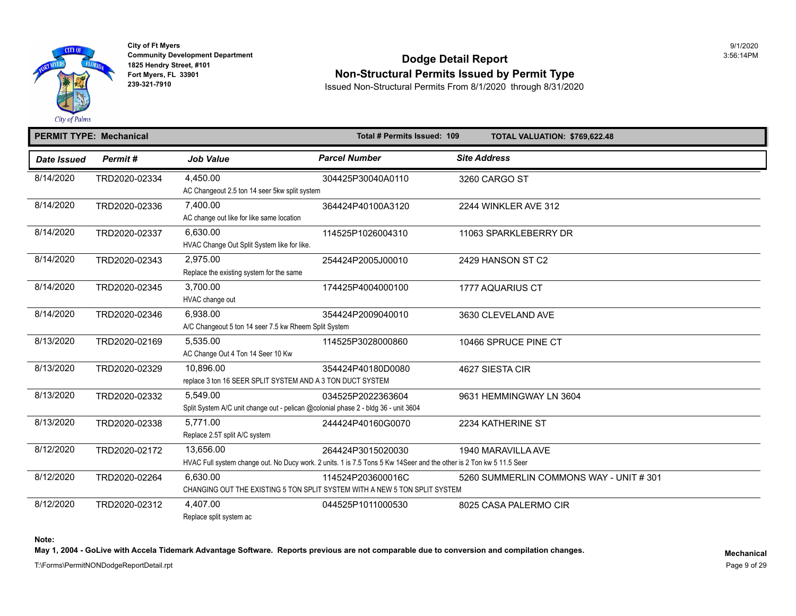

## Community Development Department<br>1825 Hendry Street, #101 **Dodge Detail Report** Fort Myers, FL 33901<br>Fort Myers, FL 33901<br>239-321-7910<br>239-321-7910<br>Result of Non-Structural Permits From 8/1/2020, through 8/31/2020

**239-321-7910** Issued Non-Structural Permits From 8/1/2020 through 8/31/2020

### **PERMIT TYPE: Mechanical Contract 2009 Contract 2009 Contract 2009 Contract 2009** TOTAL VALUATION: \$769,622.48

| <b>Date Issued</b> | Permit#       | <b>Job Value</b>                                                                   | <b>Parcel Number</b>                                                                                                | <b>Site Address</b>          |
|--------------------|---------------|------------------------------------------------------------------------------------|---------------------------------------------------------------------------------------------------------------------|------------------------------|
| 8/14/2020          | TRD2020-02334 | 4,450.00                                                                           | 304425P30040A0110                                                                                                   | 3260 CARGO ST                |
|                    |               | AC Changeout 2.5 ton 14 seer 5kw split system                                      |                                                                                                                     |                              |
| 8/14/2020          | TRD2020-02336 | 7,400.00                                                                           | 364424P40100A3120                                                                                                   | 2244 WINKLER AVE 312         |
|                    |               | AC change out like for like same location                                          |                                                                                                                     |                              |
| 8/14/2020          | TRD2020-02337 | 6,630.00                                                                           | 114525P1026004310                                                                                                   | 11063 SPARKLEBERRY DR        |
|                    |               | HVAC Change Out Split System like for like.                                        |                                                                                                                     |                              |
| 8/14/2020          | TRD2020-02343 | 2,975.00                                                                           | 254424P2005J00010                                                                                                   | 2429 HANSON ST C2            |
|                    |               | Replace the existing system for the same                                           |                                                                                                                     |                              |
| 8/14/2020          | TRD2020-02345 | 3.700.00                                                                           | 174425P4004000100                                                                                                   | 1777 AQUARIUS CT             |
|                    |               | HVAC change out                                                                    |                                                                                                                     |                              |
| 8/14/2020          | TRD2020-02346 | 6,938.00                                                                           | 354424P2009040010                                                                                                   | 3630 CLEVELAND AVE           |
|                    |               | A/C Changeout 5 ton 14 seer 7.5 kw Rheem Split System                              |                                                                                                                     |                              |
| 8/13/2020          | TRD2020-02169 | 5,535.00                                                                           | 114525P3028000860                                                                                                   | 10466 SPRUCE PINE CT         |
|                    |               | AC Change Out 4 Ton 14 Seer 10 Kw                                                  |                                                                                                                     |                              |
| 8/13/2020          | TRD2020-02329 | 10,896.00                                                                          | 354424P40180D0080                                                                                                   | 4627 SIESTA CIR              |
|                    |               | replace 3 ton 16 SEER SPLIT SYSTEM AND A 3 TON DUCT SYSTEM                         |                                                                                                                     |                              |
| 8/13/2020          | TRD2020-02332 | 5,549.00                                                                           | 034525P2022363604                                                                                                   | 9631 HEMMINGWAY LN 3604      |
|                    |               | Split System A/C unit change out - pelican @colonial phase 2 - bldg 36 - unit 3604 |                                                                                                                     |                              |
| 8/13/2020          | TRD2020-02338 | 5,771.00                                                                           | 244424P40160G0070                                                                                                   | 2234 KATHERINE ST            |
|                    |               | Replace 2.5T split A/C system                                                      |                                                                                                                     |                              |
| 8/12/2020          | TRD2020-02172 | 13.656.00                                                                          | 264424P3015020030                                                                                                   | 1940 MARAVILLA AVE           |
|                    |               |                                                                                    | HVAC Full system change out. No Ducy work. 2 units. 1 is 7.5 Tons 5 Kw 14Seer and the other is 2 Ton kw 5 11.5 Seer |                              |
| 8/12/2020          | TRD2020-02264 | 6.630.00                                                                           | 114524P203600016C                                                                                                   | 5260 SUMMERLIN COMMONS WAY - |
|                    |               |                                                                                    | CHANGING OUT THE EXISTING 5 TON SPLIT SYSTEM WITH A NEW 5 TON SPLIT SYSTEM                                          |                              |
| 8/12/2020          | TRD2020-02312 | 4,407.00                                                                           | 044525P1011000530                                                                                                   | 8025 CASA PALERMO CIR        |
|                    |               | Replace split system ac                                                            |                                                                                                                     |                              |

**Note:** 

May 1, 2004 - GoLive with Accela Tidemark Advantage Software. Reports previous are not comparable due to conversion and compilation changes.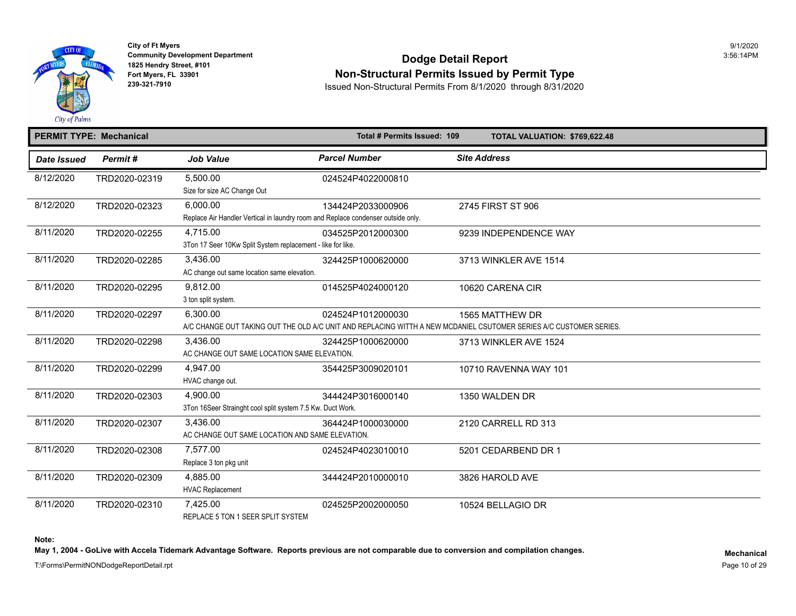

## Community Development Department<br>1825 Hendry Street, #101 **Dodge Detail Report Fort Myers, FL 33901 Non-Structural Permits Issued by Permit Type**<br>239-321-7910<br>239-321-7910 **Permits Permits Inc. Structural Permits From 8/1/2020** through 9/24/2020

**239-321-7910** Issued Non-Structural Permits From 8/1/2020 through 8/31/2020

#### **PERMIT TYPE: Mechanical Total # Permits Issued: 109 TOTAL VALUATION: \$769,622.48**  *Date Issued Permit # Job Value Parcel Number Site Address*  8/12/2020 TRD2020-02319 5,500.00 024524P4022000810 Size for size AC Change Out 8/12/2020 TRD2020-02323 6,000.00 134424P2033000906 2745 FIRST ST 906 Replace Air Handler Vertical in laundry room and Replace condenser outside only. 8/11/2020 TRD2020-02255 4,715.00 034525P2012000300 9239 INDEPENDENCE WAY 3Ton 17 Seer 10Kw Split System replacement - like for like. 8/11/2020 TRD2020-02285 3,436.00 324425P1000620000 3713 WINKLER AVE 1514 AC change out same location same elevation. 8/11/2020 TRD2020-02295 9,812.00 014525P4024000120 10620 CARENA CIR 3 ton split system. 8/11/2020 TRD2020-02297 6,300.00 024524P1012000030 1565 MATTHEW DR A/C CHANGE OUT TAKING OUT THE OLD A/C UNIT AND REPLACING WITTH A NEW MCDANIEL CSUTOMER SERIES A/C CUSTOMER SERIE 8/11/2020 TRD2020-02298 3,436.00 324425P1000620000 3713 WINKLER AVE 1524 AC CHANGE OUT SAME LOCATION SAME ELEVATION. 8/11/2020 TRD2020-02299 4,947.00 354425P3009020101 10710 RAVENNA WAY 101 HVAC change out. 8/11/2020 TRD2020-02303 4,900.00 344424P3016000140 1350 WALDEN DR 3Ton 16Seer Strainght cool split system 7.5 Kw. Duct Work. 8/11/2020 TRD2020-02307 3,436.00 364424P1000030000 2120 CARRELL RD 313 AC CHANGE OUT SAME LOCATION AND SAME ELEVATION. 8/11/2020 TRD2020-02308 7,577.00 024524P4023010010 5201 CEDARBEND DR 1 Replace 3 ton pkg unit 8/11/2020 TRD2020-02309 4,885.00 344424P2010000010 3826 HAROLD AVE HVAC Replacement 8/11/2020 TRD2020-02310 7,425.00 024525P2002000050 10524 BELLAGIO DR REPLACE 5 TON 1 SEER SPLIT SYSTEM

**Note:** 

May 1, 2004 - GoLive with Accela Tidemark Advantage Software. Reports previous are not comparable due to conversion and compilation changes.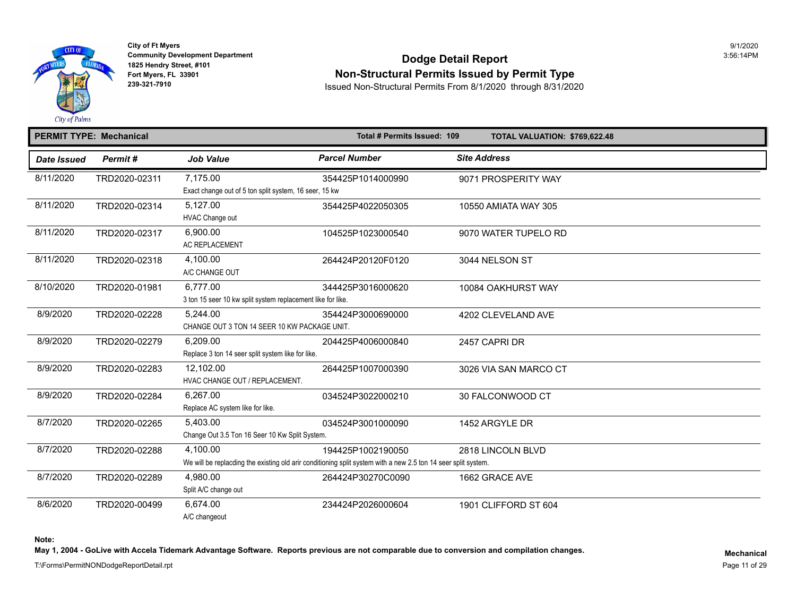

### Community Development Department<br>1825 Hendry Street, #101 **Dodge Detail Report Fort Myers, FL 33901 Non-Structural Permits Issued by Permit Type**<br>239-321-7910<br>239-321-7910<br>239-321-7910

**239-321-7910** Issued Non-Structural Permits From 8/1/2020 through 8/31/2020

#### **PERMIT TYPE: Mechanical Total # Permits Issued: 109 TOTAL VALUATION: \$769,622.48**  *Date Issued Permit # Job Value Parcel Number Site Address*  8/11/2020 TRD2020-02311 7,175.00 354425P1014000990 9071 PROSPERITY WAY Exact change out of 5 ton split system, 16 seer, 15 kw 8/11/2020 TRD2020-02314 5,127.00 354425P4022050305 10550 AMIATA WAY 305 HVAC Change out 8/11/2020 TRD2020-02317 6,900.00 104525P1023000540 9070 WATER TUPELO RD AC REPLACEMENT 8/11/2020 TRD2020-02318 4,100.00 264424P20120F0120 3044 NELSON ST A/C CHANGE OUT 8/10/2020 TRD2020-01981 6,777.00 344425P3016000620 10084 OAKHURST WAY 3 ton 15 seer 10 kw split system replacement like for like. 8/9/2020 TRD2020-02228 5,244.00 354424P3000690000 4202 CLEVELAND AVE CHANGE OUT 3 TON 14 SEER 10 KW PACKAGE UNIT. 8/9/2020 TRD2020-02279 6,209.00 204425P4006000840 2457 CAPRI DR Replace 3 ton 14 seer split system like for like. 8/9/2020 TRD2020-02283 12,102.00 264425P1007000390 3026 VIA SAN MARCO CT HVAC CHANGE OUT / REPLACEMENT. 8/9/2020 TRD2020-02284 6,267.00 034524P3022000210 30 FALCONWOOD CT Replace AC system like for like. 8/7/2020 TRD2020-02265 5,403.00 034524P3001000090 1452 ARGYLE DR Change Out 3.5 Ton 16 Seer 10 Kw Split System. 8/7/2020 TRD2020-02288 4,100.00 194425P1002190050 2818 LINCOLN BLVD We will be replacding the existing old arir conditioning split system with a new 2.5 ton 14 seer split system. 8/7/2020 TRD2020-02289 4,980.00 264424P30270C0090 1662 GRACE AVE Split A/C change out 8/6/2020 TRD2020-00499 6,674.00 234424P2026000604 1901 CLIFFORD ST 604 A/C changeout

**Note:** 

May 1, 2004 - GoLive with Accela Tidemark Advantage Software. Reports previous are not comparable due to conversion and compilation changes.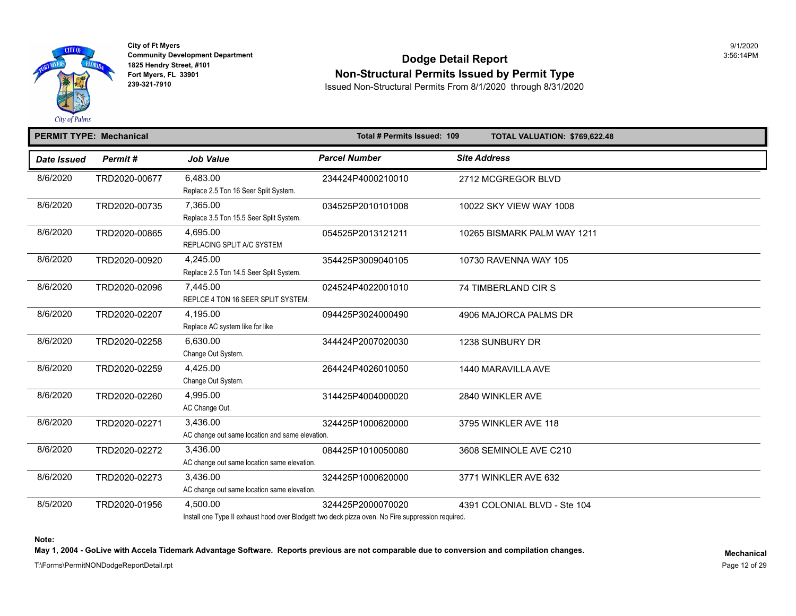

## Community Development Department<br>1825 Hendry Street, #101 **Dodge Detail Report Fort Myers, FL 33901**<br>239-321-7910<br>239-321-7910<br>239-321-7910

**239-321-7910** Issued Non-Structural Permits From 8/1/2020 through 8/31/2020

#### **PERMIT TYPE: Mechanical Total # Permits Issued: 109 TOTAL VALUATION: \$769,622.48**  *Date Issued Permit # Job Value Parcel Number Site Address*  8/6/2020 TRD2020-00677 6,483.00 234424P4000210010 2712 MCGREGOR BLVD Replace 2.5 Ton 16 Seer Split System. 8/6/2020 TRD2020-00735 7,365.00 034525P2010101008 10022 SKY VIEW WAY 1008 Replace 3.5 Ton 15.5 Seer Split System. 8/6/2020 TRD2020-00865 4,695.00 054525P2013121211 10265 BISMARK PALM WAY 1211 REPLACING SPLIT A/C SYSTEM 8/6/2020 TRD2020-00920 4,245.00 354425P3009040105 10730 RAVENNA WAY 105 Replace 2.5 Ton 14.5 Seer Split System. 8/6/2020 TRD2020-02096 7,445.00 024524P4022001010 74 TIMBERLAND CIR S REPLCE 4 TON 16 SEER SPLIT SYSTEM. 8/6/2020 TRD2020-02207 4,195.00 094425P3024000490 4906 MAJORCA PALMS DR Replace AC system like for like 8/6/2020 TRD2020-02258 6,630.00 344424P2007020030 1238 SUNBURY DR Change Out System. 8/6/2020 TRD2020-02259 4,425.00 264424P4026010050 1440 MARAVILLA AVE Change Out System. 8/6/2020 TRD2020-02260 4,995.00 314425P4004000020 2840 WINKLER AVE AC Change Out. 8/6/2020 TRD2020-02271 3,436.00 324425P1000620000 3795 WINKLER AVE 118 AC change out same location and same elevation. 8/6/2020 TRD2020-02272 3,436.00 084425P1010050080 3608 SEMINOLE AVE C210 AC change out same location same elevation. 8/6/2020 TRD2020-02273 3,436.00 324425P1000620000 3771 WINKLER AVE 632 AC change out same location same elevation. 8/5/2020 TRD2020-01956 4,500.00 324425P2000070020 4391 COLONIAL BLVD - Ste 104

Install one Type II exhaust hood over Blodgett two deck pizza oven. No Fire suppression required.

**Note:** 

May 1, 2004 - GoLive with Accela Tidemark Advantage Software. Reports previous are not comparable due to conversion and compilation changes.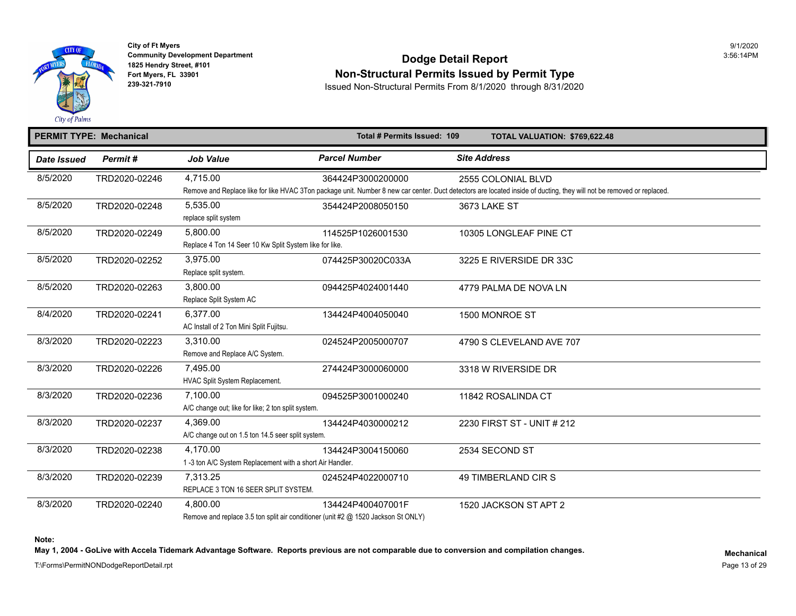

## **Community Development Department**<br>1825 Hendry Street, #101 Fort Myers, FL 33901<br>Fort Myers, FL 33901 **Non-Structural Permits Issued by Permit Type**<br>239-321-7910 **Permits From 8/1/2020** through 8/31/2020

**239-321-7910** Issued Non-Structural Permits From 8/1/2020 through 8/31/2020

| <b>PERMIT TYPE: Mechanical</b> |               |                                                                                                                                                                  | Total # Permits Issued: 109 |                     | TOTAL VALUATION: \$769,622.48 |
|--------------------------------|---------------|------------------------------------------------------------------------------------------------------------------------------------------------------------------|-----------------------------|---------------------|-------------------------------|
| <b>Date Issued</b>             | Permit#       | <b>Job Value</b>                                                                                                                                                 | <b>Parcel Number</b>        | <b>Site Address</b> |                               |
| 8/5/2020                       | TRD2020-02246 | 4,715.00<br>Remove and Replace like for like HVAC 3Ton package unit. Number 8 new car center. Duct detectors are located inside of ducting, they will not be rer | 364424P3000200000           |                     | 2555 COLONIAL BLVD            |
| 8/5/2020                       | TRD2020-02248 | 5,535.00<br>replace split system                                                                                                                                 | 354424P2008050150           |                     | 3673 LAKE ST                  |
| 8/5/2020                       | TRD2020-02249 | 5,800.00<br>Replace 4 Ton 14 Seer 10 Kw Split System like for like.                                                                                              | 114525P1026001530           |                     | 10305 LONGLEAF PINE CT        |
| 8/5/2020                       | TRD2020-02252 | 3,975.00<br>Replace split system.                                                                                                                                | 074425P30020C033A           |                     | 3225 E RIVERSIDE DR 33C       |
| 8/5/2020                       | TRD2020-02263 | 3,800.00<br>Replace Split System AC                                                                                                                              | 094425P4024001440           |                     | 4779 PALMA DE NOVA LN         |
| 8/4/2020                       | TRD2020-02241 | 6.377.00<br>AC Install of 2 Ton Mini Split Fujitsu.                                                                                                              | 134424P4004050040           |                     | 1500 MONROE ST                |
| 8/3/2020                       | TRD2020-02223 | 3,310.00<br>Remove and Replace A/C System.                                                                                                                       | 024524P2005000707           |                     | 4790 S CLEVELAND AVE 707      |
| 8/3/2020                       | TRD2020-02226 | 7,495.00<br>HVAC Split System Replacement.                                                                                                                       | 274424P3000060000           |                     | 3318 W RIVERSIDE DR           |
| 8/3/2020                       | TRD2020-02236 | 7,100.00<br>A/C change out; like for like; 2 ton split system.                                                                                                   | 094525P3001000240           |                     | 11842 ROSALINDA CT            |
| 8/3/2020                       | TRD2020-02237 | 4.369.00<br>A/C change out on 1.5 ton 14.5 seer split system.                                                                                                    | 134424P4030000212           |                     | 2230 FIRST ST - UNIT # 212    |
| 8/3/2020                       | TRD2020-02238 | 4.170.00<br>1-3 ton A/C System Replacement with a short Air Handler.                                                                                             | 134424P3004150060           |                     | 2534 SECOND ST                |
| 8/3/2020                       | TRD2020-02239 | 7,313.25<br>REPLACE 3 TON 16 SEER SPLIT SYSTEM.                                                                                                                  | 024524P4022000710           |                     | 49 TIMBERLAND CIR S           |
| 8/3/2020                       | TRD2020-02240 | 4,800.00<br>Remove and replace 3.5 ton split air conditioner (unit #2 @ 1520 Jackson St ONLY)                                                                    | 134424P400407001F           |                     | 1520 JACKSON ST APT 2         |

**Note:** 

May 1, 2004 - GoLive with Accela Tidemark Advantage Software. Reports previous are not comparable due to conversion and compilation changes.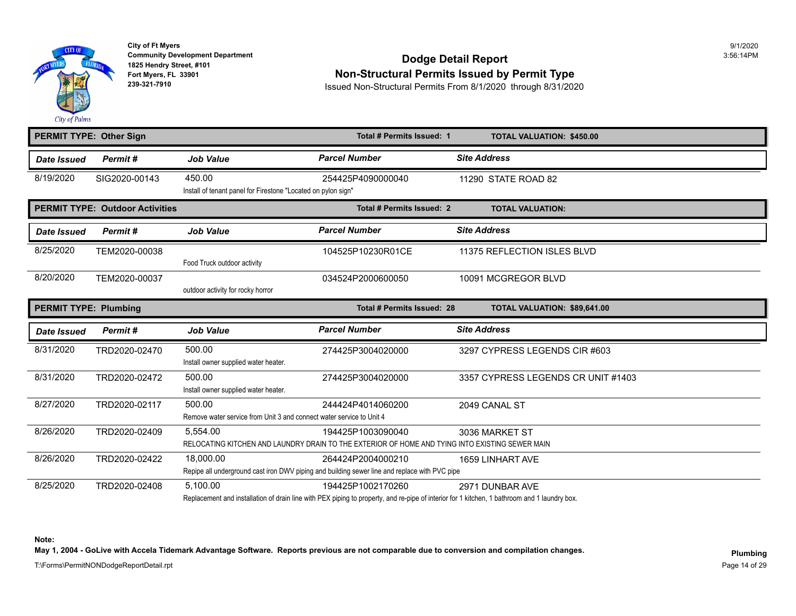

### **Community Development Department** 3:56:14PM **Dodge Detail Report 1825 Hendry Street, #101** 3:56:14PM Fort Myers, FL 33901<br>
Fort Myers, FL 33901<br>
239-321-7910<br>
239-321-7910<br>
Resued Non-Structural Permits From 8/1/2020, through 8/31/2020

**239-321-7910** Issued Non-Structural Permits From 8/1/2020 through 8/31/2020

|                              | <b>PERMIT TYPE: Other Sign</b>         |                                                                                | <b>Total # Permits Issued: 1</b>                                                                                     | <b>TOTAL VALUATION: \$450.00</b>   |  |
|------------------------------|----------------------------------------|--------------------------------------------------------------------------------|----------------------------------------------------------------------------------------------------------------------|------------------------------------|--|
| Date Issued                  | Permit#                                | <b>Job Value</b>                                                               | <b>Parcel Number</b>                                                                                                 | <b>Site Address</b>                |  |
| 8/19/2020                    | SIG2020-00143                          | 450.00<br>Install of tenant panel for Firestone "Located on pylon sign"        | 254425P4090000040                                                                                                    | 11290 STATE ROAD 82                |  |
|                              | <b>PERMIT TYPE: Outdoor Activities</b> |                                                                                | Total # Permits Issued: 2                                                                                            | <b>TOTAL VALUATION:</b>            |  |
| Date Issued                  | Permit#                                | <b>Job Value</b>                                                               | <b>Parcel Number</b>                                                                                                 | <b>Site Address</b>                |  |
| 8/25/2020                    | TEM2020-00038                          | Food Truck outdoor activity                                                    | 104525P10230R01CE                                                                                                    | 11375 REFLECTION ISLES BLVD        |  |
| 8/20/2020                    | TEM2020-00037                          | outdoor activity for rocky horror                                              | 034524P2000600050                                                                                                    | 10091 MCGREGOR BLVD                |  |
| <b>PERMIT TYPE: Plumbing</b> |                                        |                                                                                | Total # Permits Issued: 28                                                                                           | TOTAL VALUATION: \$89,641.00       |  |
|                              |                                        |                                                                                |                                                                                                                      |                                    |  |
| Date Issued                  | Permit#                                | <b>Job Value</b>                                                               | <b>Parcel Number</b>                                                                                                 | <b>Site Address</b>                |  |
| 8/31/2020                    | TRD2020-02470                          | 500.00<br>Install owner supplied water heater.                                 | 274425P3004020000                                                                                                    | 3297 CYPRESS LEGENDS CIR #603      |  |
| 8/31/2020                    | TRD2020-02472                          | 500.00<br>Install owner supplied water heater.                                 | 274425P3004020000                                                                                                    | 3357 CYPRESS LEGENDS CR UNIT #1403 |  |
| 8/27/2020                    | TRD2020-02117                          | 500.00<br>Remove water service from Unit 3 and connect water service to Unit 4 | 244424P4014060200                                                                                                    | 2049 CANAL ST                      |  |
| 8/26/2020                    | TRD2020-02409                          | 5,554.00                                                                       | 194425P1003090040<br>RELOCATING KITCHEN AND LAUNDRY DRAIN TO THE EXTERIOR OF HOME AND TYING INTO EXISTING SEWER MAIN | 3036 MARKET ST                     |  |
| 8/26/2020                    | TRD2020-02422                          | 18,000.00                                                                      | 264424P2004000210<br>Repipe all underground cast iron DWV piping and building sewer line and replace with PVC pipe   | 1659 LINHART AVE                   |  |

**Note:** 

May 1, 2004 - GoLive with Accela Tidemark Advantage Software. Reports previous are not comparable due to conversion and compilation changes.<br>Plumbing

T:\Forms\PermitNONDodgeReportDetail.rpt Page 14 of 29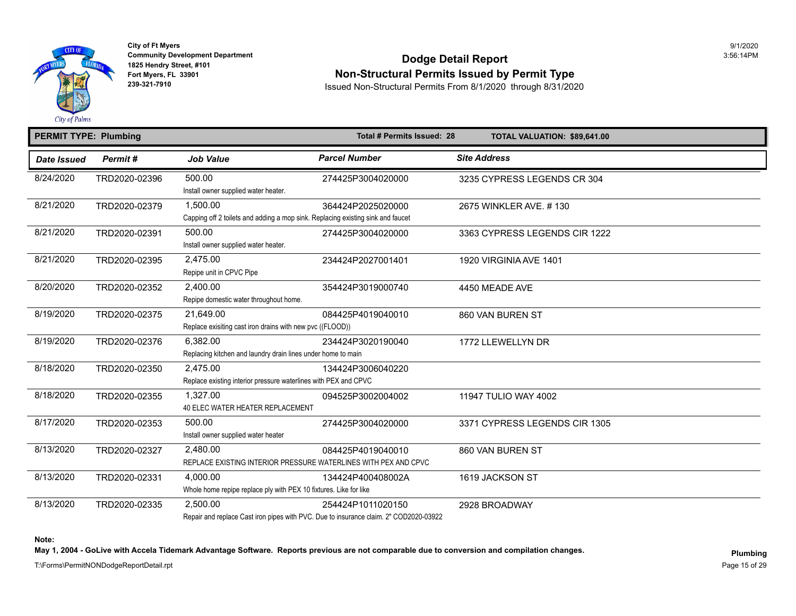

### **Community Development Department** 3:56:14PM **Dodge Detail Report 1825 Hendry Street, #101** 3:56:14PM Fort Myers, FL 33901<br>
Fort Myers, FL 33901<br>
239-321-7910<br>
239-321-7910<br>
Resued Non-Structural Permits From 8/1/2020, through 8/31/2020

**239-321-7910** Issued Non-Structural Permits From 8/1/2020 through 8/31/2020

| <b>PERMIT TYPE: Plumbing</b> |                |                                                                                       | Total # Permits Issued: 28 | TOTAL VALUATION: \$89,641.00  |
|------------------------------|----------------|---------------------------------------------------------------------------------------|----------------------------|-------------------------------|
| <b>Date Issued</b>           | <b>Permit#</b> | <b>Job Value</b>                                                                      | <b>Parcel Number</b>       | <b>Site Address</b>           |
| 8/24/2020                    | TRD2020-02396  | 500.00                                                                                | 274425P3004020000          | 3235 CYPRESS LEGENDS CR 304   |
|                              |                | Install owner supplied water heater.                                                  |                            |                               |
| 8/21/2020                    | TRD2020-02379  | 1,500.00                                                                              | 364424P2025020000          | 2675 WINKLER AVE. #130        |
|                              |                | Capping off 2 toilets and adding a mop sink. Replacing existing sink and faucet       |                            |                               |
| 8/21/2020                    | TRD2020-02391  | 500.00                                                                                | 274425P3004020000          | 3363 CYPRESS LEGENDS CIR 1222 |
|                              |                | Install owner supplied water heater.                                                  |                            |                               |
| 8/21/2020                    | TRD2020-02395  | 2.475.00                                                                              | 234424P2027001401          | 1920 VIRGINIA AVE 1401        |
|                              |                | Repipe unit in CPVC Pipe                                                              |                            |                               |
| 8/20/2020                    | TRD2020-02352  | 2.400.00                                                                              | 354424P3019000740          | 4450 MEADE AVE                |
|                              |                | Repipe domestic water throughout home.                                                |                            |                               |
| 8/19/2020                    | TRD2020-02375  | 21.649.00                                                                             | 084425P4019040010          | 860 VAN BUREN ST              |
|                              |                | Replace exisiting cast iron drains with new pvc ((FLOOD))                             |                            |                               |
| 8/19/2020                    | TRD2020-02376  | 6,382.00                                                                              | 234424P3020190040          | 1772 LLEWELLYN DR             |
|                              |                | Replacing kitchen and laundry drain lines under home to main                          |                            |                               |
| 8/18/2020                    | TRD2020-02350  | 2,475.00                                                                              | 134424P3006040220          |                               |
|                              |                | Replace existing interior pressure waterlines with PEX and CPVC                       |                            |                               |
| 8/18/2020                    | TRD2020-02355  | 1,327.00                                                                              | 094525P3002004002          | 11947 TULIO WAY 4002          |
|                              |                | 40 ELEC WATER HEATER REPLACEMENT                                                      |                            |                               |
| 8/17/2020                    | TRD2020-02353  | 500.00                                                                                | 274425P3004020000          | 3371 CYPRESS LEGENDS CIR 1305 |
|                              |                | Install owner supplied water heater                                                   |                            |                               |
| 8/13/2020                    | TRD2020-02327  | 2.480.00                                                                              | 084425P4019040010          | 860 VAN BUREN ST              |
|                              |                | REPLACE EXISTING INTERIOR PRESSURE WATERLINES WITH PEX AND CPVC                       |                            |                               |
| 8/13/2020                    | TRD2020-02331  | 4.000.00                                                                              | 134424P400408002A          | 1619 JACKSON ST               |
|                              |                | Whole home repipe replace ply with PEX 10 fixtures. Like for like                     |                            |                               |
| 8/13/2020                    | TRD2020-02335  | 2,500.00                                                                              | 254424P1011020150          | 2928 BROADWAY                 |
|                              |                | Repair and replace Cast iron pipes with PVC. Due to insurance claim. 2" COD2020-03922 |                            |                               |

**Note:** 

May 1, 2004 - GoLive with Accela Tidemark Advantage Software. Reports previous are not comparable due to conversion and compilation changes.<br>Plumbing

T:\Forms\PermitNONDodgeReportDetail.rpt Page 15 of 29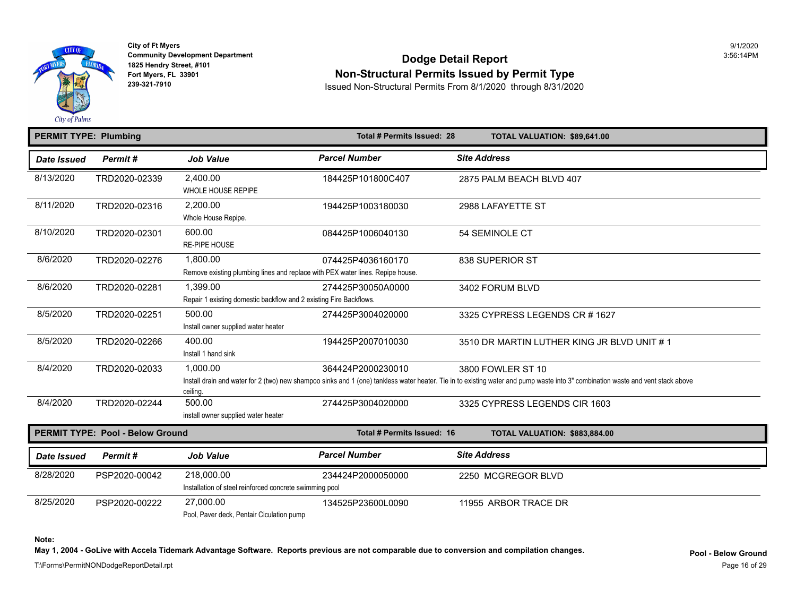

# **Community Development Department**<br>1825 Hendry Street, #101 Fort Myers, FL 33901<br>Fort Myers, FL 33901 **Non-Structural Permits Issued by Permit Type**<br>239-321-7910 **Permits From 8/1/2020** through 8/31/2020

**239-321-7910** Issued Non-Structural Permits From 8/1/2020 through 8/31/2020

| <b>PERMIT TYPE: Plumbing</b> |                                         | Total # Permits Issued: 28                                                                 | TOTAL VALUATION: \$89,641.00 |                                                                                                                                                                             |
|------------------------------|-----------------------------------------|--------------------------------------------------------------------------------------------|------------------------------|-----------------------------------------------------------------------------------------------------------------------------------------------------------------------------|
| Date Issued                  | Permit#                                 | <b>Job Value</b>                                                                           | <b>Parcel Number</b>         | <b>Site Address</b>                                                                                                                                                         |
| 8/13/2020                    | TRD2020-02339                           | 2,400.00<br>WHOLE HOUSE REPIPE                                                             | 184425P101800C407            | 2875 PALM BEACH BLVD 407                                                                                                                                                    |
| 8/11/2020                    | TRD2020-02316                           | 2,200.00<br>Whole House Repipe.                                                            | 194425P1003180030            | 2988 LAFAYETTE ST                                                                                                                                                           |
| 8/10/2020                    | TRD2020-02301                           | 600.00<br><b>RE-PIPE HOUSE</b>                                                             | 084425P1006040130            | 54 SEMINOLE CT                                                                                                                                                              |
| 8/6/2020                     | TRD2020-02276                           | 1,800.00<br>Remove existing plumbing lines and replace with PEX water lines. Repipe house. | 074425P4036160170            | 838 SUPERIOR ST                                                                                                                                                             |
| 8/6/2020                     | TRD2020-02281                           | 1,399.00<br>Repair 1 existing domestic backflow and 2 existing Fire Backflows.             | 274425P30050A0000            | 3402 FORUM BLVD                                                                                                                                                             |
| 8/5/2020                     | TRD2020-02251                           | 500.00<br>Install owner supplied water heater                                              | 274425P3004020000            | 3325 CYPRESS LEGENDS CR #1627                                                                                                                                               |
| 8/5/2020                     | TRD2020-02266                           | 400.00<br>Install 1 hand sink                                                              | 194425P2007010030            | 3510 DR MARTIN LUTHER KING JR B                                                                                                                                             |
| 8/4/2020                     | TRD2020-02033                           | 1,000.00<br>ceiling.                                                                       | 364424P2000230010            | 3800 FOWLER ST 10<br>Install drain and water for 2 (two) new shampoo sinks and 1 (one) tankless water heater. Tie in to existing water and pump waste into 3" combination v |
| 8/4/2020                     | TRD2020-02244                           | 500.00<br>install owner supplied water heater                                              | 274425P3004020000            | 3325 CYPRESS LEGENDS CIR 1603                                                                                                                                               |
|                              | <b>PERMIT TYPE: Pool - Below Ground</b> |                                                                                            | Total # Permits Issued: 16   | TOTAL VALUATION: \$883,884.00                                                                                                                                               |
| <b>Date Issued</b>           | Permit#                                 | <b>Job Value</b>                                                                           | <b>Parcel Number</b>         | <b>Site Address</b>                                                                                                                                                         |
| 8/28/2020                    | PSP2020-00042                           | 218,000.00<br>Installation of steel reinforced concrete swimming pool                      | 234424P2000050000            | 2250 MCGREGOR BLVD                                                                                                                                                          |
| 8/25/2020                    | PSP2020-00222                           | 27.000.00                                                                                  | 134525P23600L0090            | 11955 ARBOR TRACE DR                                                                                                                                                        |

Pool, Paver deck, Pentair Ciculation pump

**Note:** 

**May 1, 2004 - GoLive with Accela Tidemark Advantage Software. Reports previous are not comparable due to conversion and compilation changes.**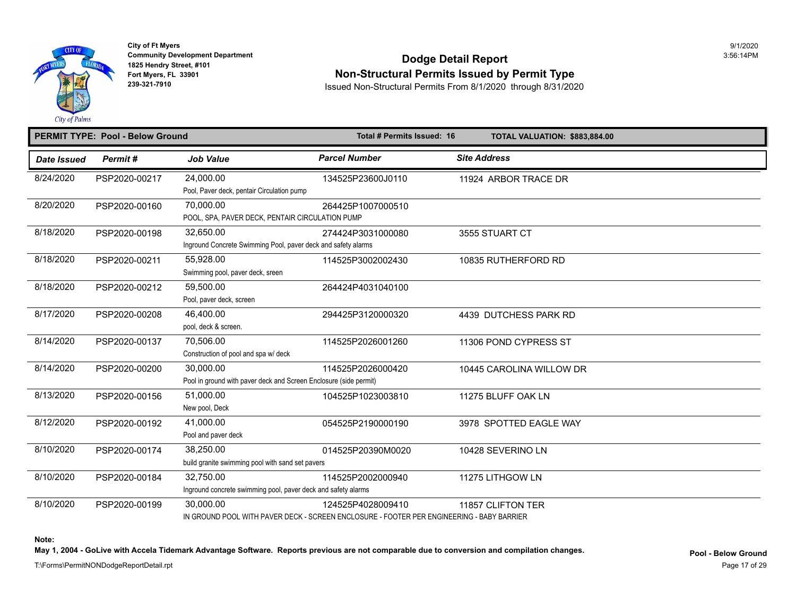

# **Community Development Department**<br>1825 Hendry Street, #101 Fort Myers, FL 33901<br>Fort Myers, FL 33901 **Non-Structural Permits Issued by Permit Type**<br>239-321-7910 **Permits From 8/1/2020** through 8/31/2020

**239-321-7910** Issued Non-Structural Permits From 8/1/2020 through 8/31/2020

|             | <b>PERMIT TYPE: Pool - Below Ground</b> |                                                                                | Total # Permits Issued: 16                                                                                     | TOTAL VALUATION: \$883,884.00 |
|-------------|-----------------------------------------|--------------------------------------------------------------------------------|----------------------------------------------------------------------------------------------------------------|-------------------------------|
| Date Issued | Permit#                                 | <b>Job Value</b>                                                               | <b>Parcel Number</b>                                                                                           | <b>Site Address</b>           |
| 8/24/2020   | PSP2020-00217                           | 24,000.00<br>Pool, Paver deck, pentair Circulation pump                        | 134525P23600J0110                                                                                              | 11924 ARBOR TRACE DR          |
| 8/20/2020   | PSP2020-00160                           | 70.000.00<br>POOL, SPA, PAVER DECK, PENTAIR CIRCULATION PUMP                   | 264425P1007000510                                                                                              |                               |
| 8/18/2020   | PSP2020-00198                           | 32,650.00<br>Inground Concrete Swimming Pool, paver deck and safety alarms     | 274424P3031000080                                                                                              | 3555 STUART CT                |
| 8/18/2020   | PSP2020-00211                           | 55,928.00<br>Swimming pool, paver deck, sreen                                  | 114525P3002002430                                                                                              | 10835 RUTHERFORD RD           |
| 8/18/2020   | PSP2020-00212                           | 59,500.00<br>Pool, paver deck, screen                                          | 264424P4031040100                                                                                              |                               |
| 8/17/2020   | PSP2020-00208                           | 46.400.00<br>pool, deck & screen.                                              | 294425P3120000320                                                                                              | 4439 DUTCHESS PARK RD         |
| 8/14/2020   | PSP2020-00137                           | 70,506.00<br>Construction of pool and spa w/ deck                              | 114525P2026001260                                                                                              | 11306 POND CYPRESS ST         |
| 8/14/2020   | PSP2020-00200                           | 30,000.00<br>Pool in ground with paver deck and Screen Enclosure (side permit) | 114525P2026000420                                                                                              | 10445 CAROLINA WILLOW DR      |
| 8/13/2020   | PSP2020-00156                           | 51,000.00<br>New pool, Deck                                                    | 104525P1023003810                                                                                              | 11275 BLUFF OAK LN            |
| 8/12/2020   | PSP2020-00192                           | 41,000.00<br>Pool and paver deck                                               | 054525P2190000190                                                                                              | 3978 SPOTTED EAGLE WAY        |
| 8/10/2020   | PSP2020-00174                           | 38.250.00<br>build granite swimming pool with sand set pavers                  | 014525P20390M0020                                                                                              | 10428 SEVERINO LN             |
| 8/10/2020   | PSP2020-00184                           | 32,750.00<br>Inground concrete swimming pool, paver deck and safety alarms     | 114525P2002000940                                                                                              | 11275 LITHGOW LN              |
| 8/10/2020   | PSP2020-00199                           | 30,000.00                                                                      | 124525P4028009410<br>IN GROUND POOL WITH PAVER DECK - SCREEN ENCLOSURE - FOOTER PER ENGINEERING - BABY BARRIER | 11857 CLIFTON TER             |

**Note:** 

May 1, 2004 - GoLive with Accela Tidemark Advantage Software. Reports previous are not comparable due to conversion and compilation changes.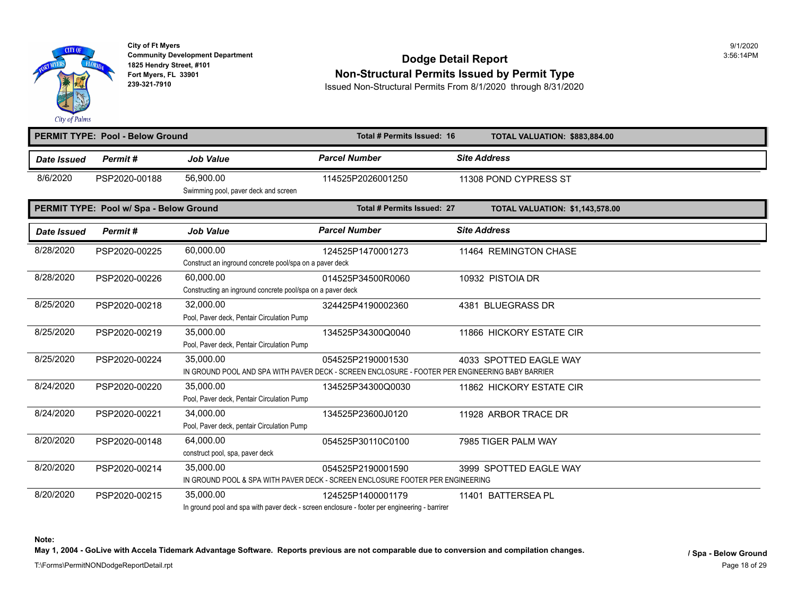

# **Community Development Department**<br>1825 Hendry Street, #101 **Fort Myers, FL 3[3901](https://60,000.00) Non-Structural Permits Issued by Permit Type**

**239-321-7910** Issued Non-Structural Permits From 8/1/2020 through 8/31/2020

| City of Palms      |                                         |                                                                         |                                                                                                                      |                                       |
|--------------------|-----------------------------------------|-------------------------------------------------------------------------|----------------------------------------------------------------------------------------------------------------------|---------------------------------------|
|                    | <b>PERMIT TYPE: Pool - Below Ground</b> |                                                                         | Total # Permits Issued: 16                                                                                           | TOTAL VALUATION: \$883,884.00         |
| Date Issued        | Permit#                                 | <b>Job Value</b>                                                        | <b>Parcel Number</b>                                                                                                 | <b>Site Address</b>                   |
| 8/6/2020           | PSP2020-00188                           | 56.900.00<br>Swimming pool, paver deck and screen                       | 114525P2026001250                                                                                                    | 11308 POND CYPRESS ST                 |
|                    | PERMIT TYPE: Pool w/ Spa - Below Ground |                                                                         | Total # Permits Issued: 27                                                                                           | <b>TOTAL VALUATION: \$1,143,578.0</b> |
| <b>Date Issued</b> | Permit#                                 | <b>Job Value</b>                                                        | <b>Parcel Number</b>                                                                                                 | <b>Site Address</b>                   |
| 8/28/2020          | PSP2020-00225                           | 60,000.00<br>Construct an inground concrete pool/spa on a paver deck    | 124525P1470001273                                                                                                    | 11464 REMINGTON CHASE                 |
| 8/28/2020          | PSP2020-00226                           | 60,000.00<br>Constructing an inground concrete pool/spa on a paver deck | 014525P34500R0060                                                                                                    | 10932 PISTOIA DR                      |
| 8/25/2020          | PSP2020-00218                           | 32,000.00<br>Pool, Paver deck, Pentair Circulation Pump                 | 324425P4190002360                                                                                                    | 4381 BLUEGRASS DR                     |
| 8/25/2020          | PSP2020-00219                           | 35,000.00<br>Pool, Paver deck, Pentair Circulation Pump                 | 134525P34300Q0040                                                                                                    | 11866 HICKORY ESTATE CIR              |
| 8/25/2020          | PSP2020-00224                           | 35,000.00                                                               | 054525P2190001530<br>IN GROUND POOL AND SPA WITH PAVER DECK - SCREEN ENCLOSURE - FOOTER PER ENGINEERING BABY BARRIER | 4033 SPOTTED EAGLE WAY                |
| 8/24/2020          | PSP2020-00220                           | 35,000.00<br>Pool, Paver deck, Pentair Circulation Pump                 | 134525P34300Q0030                                                                                                    | 11862 HICKORY ESTATE CIR              |
| 8/24/2020          | PSP2020-00221                           | 34,000.00<br>Pool, Paver deck, pentair Circulation Pump                 | 134525P23600J0120                                                                                                    | 11928 ARBOR TRACE DR                  |
| 8/20/2020          | PSP2020-00148                           | 64,000.00<br>construct pool, spa, paver deck                            | 054525P30110C0100                                                                                                    | 7985 TIGER PALM WAY                   |
| 8/20/2020          | PSP2020-00214                           | 35,000.00                                                               | 054525P2190001590<br>IN GROUND POOL & SPA WITH PAVER DECK - SCREEN ENCLOSURE FOOTER PER ENGINEERING                  | 3999 SPOTTED EAGLE WAY                |
| 8/20/2020          | PSP2020-00215                           | 35,000.00                                                               | 124525P1400001179<br>In ground pool and spa with paver deck - screen enclosure - footer per engineering - barrirer   | 11401 BATTERSEA PL                    |

**Note:** 

May 1, 2004 - GoLive with Accela Tidemark Advantage Software. Reports previous are not comparable due to conversion and compilation changes.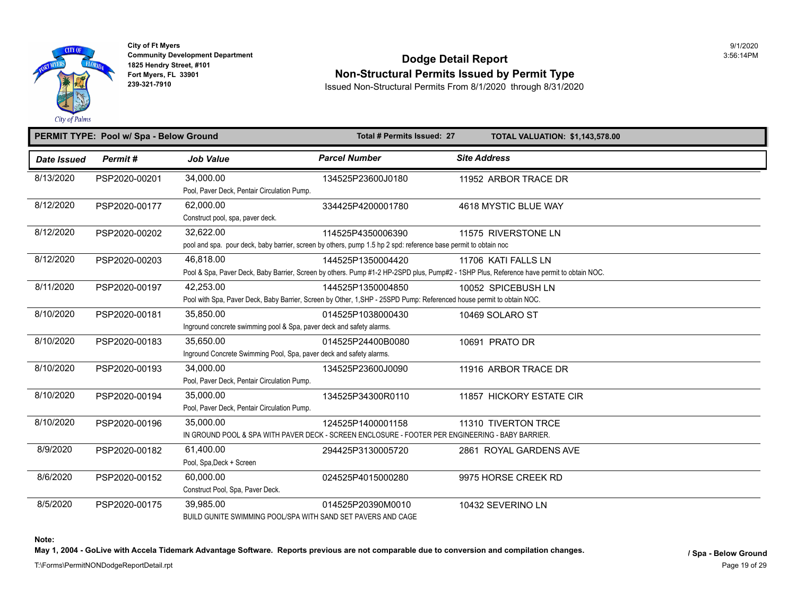

## **Community Development Department**<br>1825 Hendry Street, #101 Fort Myers, FL 33901<br>Fort Myers, FL 33901<br>239-321-7910<br>Result Non-Structural Permits From 8/1/2020, through 8/31/2020

**239-321-7910** Issued Non-Structural Permits From 8/1/2020 through 8/31/2020

|             | PERMIT TYPE: Pool w/ Spa - Below Ground |                                                                                   | Total # Permits Issued: 27                                                                                                                 | <b>TOTAL VALUATION: \$1,143,578.0</b>                                                                                                                           |
|-------------|-----------------------------------------|-----------------------------------------------------------------------------------|--------------------------------------------------------------------------------------------------------------------------------------------|-----------------------------------------------------------------------------------------------------------------------------------------------------------------|
| Date Issued | Permit#                                 | <b>Job Value</b>                                                                  | <b>Parcel Number</b>                                                                                                                       | <b>Site Address</b>                                                                                                                                             |
| 8/13/2020   | PSP2020-00201                           | 34,000.00<br>Pool, Paver Deck, Pentair Circulation Pump.                          | 134525P23600J0180                                                                                                                          | 11952 ARBOR TRACE DR                                                                                                                                            |
| 8/12/2020   | PSP2020-00177                           | 62.000.00<br>Construct pool, spa, paver deck.                                     | 334425P4200001780                                                                                                                          | 4618 MYSTIC BLUE WAY                                                                                                                                            |
| 8/12/2020   | PSP2020-00202                           | 32,622.00                                                                         | 114525P4350006390<br>pool and spa. pour deck, baby barrier, screen by others, pump 1.5 hp 2 spd: reference base permit to obtain noc       | 11575 RIVERSTONE LN                                                                                                                                             |
| 8/12/2020   | PSP2020-00203                           | 46,818.00                                                                         | 144525P1350004420                                                                                                                          | 11706 KATI FALLS LN<br>Pool & Spa, Paver Deck, Baby Barrier, Screen by others. Pump #1-2 HP-2SPD plus, Pump#2 - 1SHP Plus, Reference have permit to obtain NOC. |
| 8/11/2020   | PSP2020-00197                           | 42.253.00                                                                         | 144525P1350004850<br>Pool with Spa, Paver Deck, Baby Barrier, Screen by Other, 1, SHP - 25SPD Pump: Referenced house permit to obtain NOC. | 10052 SPICEBUSH LN                                                                                                                                              |
| 8/10/2020   | PSP2020-00181                           | 35,850.00<br>Inground concrete swimming pool & Spa, paver deck and safety alarms. | 014525P1038000430                                                                                                                          | 10469 SOLARO ST                                                                                                                                                 |
| 8/10/2020   | PSP2020-00183                           | 35,650.00<br>Inground Concrete Swimming Pool, Spa, paver deck and safety alarms.  | 014525P24400B0080                                                                                                                          | 10691 PRATO DR                                                                                                                                                  |
| 8/10/2020   | PSP2020-00193                           | 34,000.00<br>Pool, Paver Deck, Pentair Circulation Pump.                          | 134525P23600J0090                                                                                                                          | 11916 ARBOR TRACE DR                                                                                                                                            |
| 8/10/2020   | PSP2020-00194                           | 35,000.00<br>Pool, Paver Deck, Pentair Circulation Pump.                          | 134525P34300R0110                                                                                                                          | 11857 HICKORY ESTATE CIR                                                                                                                                        |
| 8/10/2020   | PSP2020-00196                           | 35,000.00                                                                         | 124525P1400001158<br>IN GROUND POOL & SPA WITH PAVER DECK - SCREEN ENCLOSURE - FOOTER PER ENGINEERING - BABY BARRIER.                      | 11310 TIVERTON TRCE                                                                                                                                             |
| 8/9/2020    | PSP2020-00182                           | 61.400.00<br>Pool, Spa, Deck + Screen                                             | 294425P3130005720                                                                                                                          | 2861 ROYAL GARDENS AVE                                                                                                                                          |
| 8/6/2020    | PSP2020-00152                           | 60.000.00<br>Construct Pool, Spa, Paver Deck.                                     | 024525P4015000280                                                                                                                          | 9975 HORSE CREEK RD                                                                                                                                             |
| 8/5/2020    | PSP2020-00175                           | 39,985.00<br>BUILD GUNITE SWIMMING POOL/SPA WITH SAND SET PAVERS AND CAGE         | 014525P20390M0010                                                                                                                          | 10432 SEVERINO LN                                                                                                                                               |

**Note:** 

May 1, 2004 - GoLive with Accela Tidemark Advantage Software. Reports previous are not comparable due to conversion and compilation changes.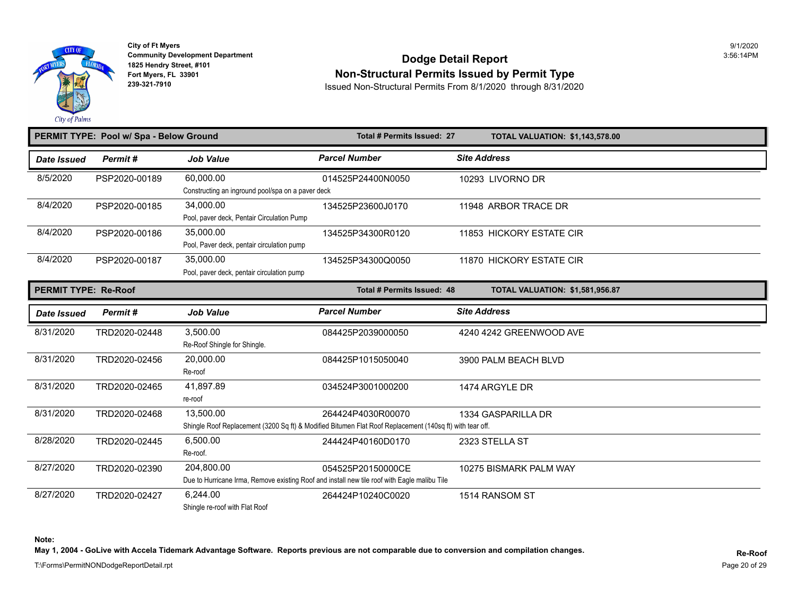

# **Community Development Department**<br>1825 Hendry Street, #101 **Fort Myers, FL 3[3901](https://35,000.00) Non-Structural Permits Issued by Permit Type**

**239-321-7910** Issued Non-Structural Permits From 8/1/2020 through 8/31/2020

|                             | PERMIT TYPE: Pool w/ Spa - Below Ground |                                                   | Total # Permits Issued: 27                                                                               | <b>TOTAL VALUATION: \$1,143,578.0</b> |  |
|-----------------------------|-----------------------------------------|---------------------------------------------------|----------------------------------------------------------------------------------------------------------|---------------------------------------|--|
| Date Issued                 | Permit#                                 | <b>Job Value</b>                                  | <b>Parcel Number</b>                                                                                     | <b>Site Address</b>                   |  |
| 8/5/2020                    | PSP2020-00189                           | 60,000.00                                         | 014525P24400N0050                                                                                        | 10293 LIVORNO DR                      |  |
|                             |                                         | Constructing an inground pool/spa on a paver deck |                                                                                                          |                                       |  |
| 8/4/2020                    | PSP2020-00185                           | 34.000.00                                         | 134525P23600J0170                                                                                        | 11948 ARBOR TRACE DR                  |  |
|                             |                                         | Pool, paver deck, Pentair Circulation Pump        |                                                                                                          |                                       |  |
| 8/4/2020                    | PSP2020-00186                           | 35,000.00                                         | 134525P34300R0120                                                                                        | 11853 HICKORY ESTATE CIR              |  |
|                             |                                         | Pool, Paver deck, pentair circulation pump        |                                                                                                          |                                       |  |
| 8/4/2020                    | PSP2020-00187                           | 35,000.00                                         | 134525P34300Q0050                                                                                        | 11870 HICKORY ESTATE CIR              |  |
|                             |                                         | Pool, paver deck, pentair circulation pump        |                                                                                                          |                                       |  |
| <b>PERMIT TYPE: Re-Roof</b> |                                         |                                                   | Total # Permits Issued: 48                                                                               | <b>TOTAL VALUATION: \$1,581,956.8</b> |  |
| <b>Date Issued</b>          | Permit#                                 | <b>Job Value</b>                                  | <b>Parcel Number</b>                                                                                     | <b>Site Address</b>                   |  |
| 8/31/2020                   | TRD2020-02448                           | 3,500.00                                          | 084425P2039000050                                                                                        | 4240 4242 GREENWOOD AVE               |  |
|                             |                                         | Re-Roof Shingle for Shingle.                      |                                                                                                          |                                       |  |
| 8/31/2020                   | TRD2020-02456                           | 20,000.00                                         | 084425P1015050040                                                                                        | 3900 PALM BEACH BLVD                  |  |
|                             |                                         | Re-roof                                           |                                                                                                          |                                       |  |
| 8/31/2020                   | TRD2020-02465                           | 41,897.89                                         | 034524P3001000200                                                                                        | 1474 ARGYLE DR                        |  |
|                             |                                         | re-roof                                           |                                                                                                          |                                       |  |
| 8/31/2020                   | TRD2020-02468                           | 13,500.00                                         | 264424P4030R00070                                                                                        | 1334 GASPARILLA DR                    |  |
|                             |                                         |                                                   | Shingle Roof Replacement (3200 Sq ft) & Modified Bitumen Flat Roof Replacement (140sq ft) with tear off. |                                       |  |
| 8/28/2020                   | TRD2020-02445                           | 6,500.00                                          | 244424P40160D0170                                                                                        | 2323 STELLA ST                        |  |
|                             |                                         | Re-roof.                                          |                                                                                                          |                                       |  |
| 8/27/2020                   | TRD2020-02390                           | 204,800.00                                        | 054525P20150000CE                                                                                        | 10275 BISMARK PALM WAY                |  |
|                             |                                         |                                                   | Due to Hurricane Irma, Remove existing Roof and install new tile roof with Eagle malibu Tile             |                                       |  |
| 8/27/2020                   | TRD2020-02427                           | 6.244.00                                          | 264424P10240C0020                                                                                        | 1514 RANSOM ST                        |  |
|                             |                                         | Shingle re-roof with Flat Roof                    |                                                                                                          |                                       |  |

**Note:** 

May 1, 2004 - GoLive with Accela Tidemark Advantage Software. Reports previous are not comparable due to conversion and compilation changes.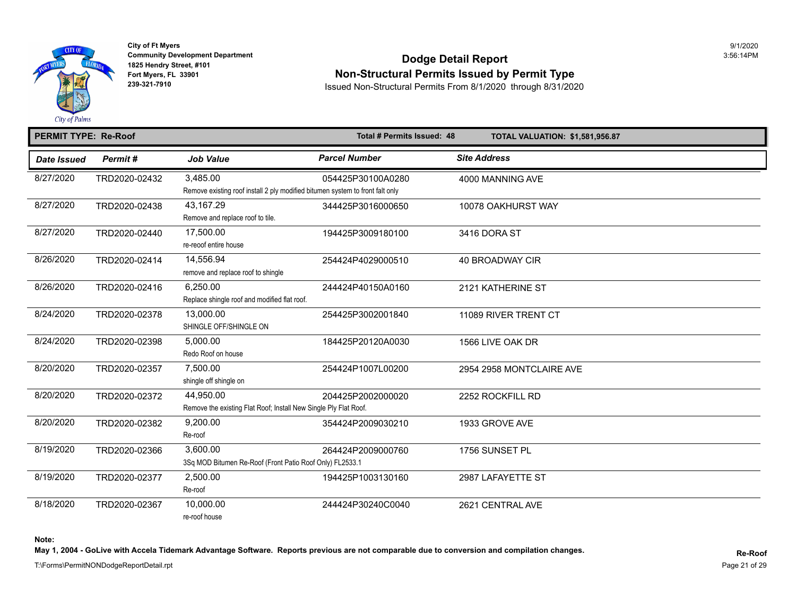

## **Community Development Department**<br>1825 Hendry Street, #101 Fort Myers, FL 33901<br>Fort Myers, FL 33901 **Non-Structural Permits Issued by Permit Type**<br>239-321-7910 **Permits From 8/1/2020** through 8/31/2020

**239-321-7910** Issued Non-Structural Permits From 8/1/2020 through 8/31/2020

| <b>PERMIT TYPE: Re-Roof</b> |               |                                                                                           | Total # Permits Issued: 48 | <b>TOTAL VALUATION: \$1,581,956.8</b> |
|-----------------------------|---------------|-------------------------------------------------------------------------------------------|----------------------------|---------------------------------------|
| <b>Date Issued</b>          | Permit#       | <b>Job Value</b>                                                                          | <b>Parcel Number</b>       | <b>Site Address</b>                   |
| 8/27/2020                   | TRD2020-02432 | 3,485.00<br>Remove existing roof install 2 ply modified bitumen system to front falt only | 054425P30100A0280          | 4000 MANNING AVE                      |
| 8/27/2020                   | TRD2020-02438 | 43,167.29<br>Remove and replace roof to tile.                                             | 344425P3016000650          | 10078 OAKHURST WAY                    |
| 8/27/2020                   | TRD2020-02440 | 17,500.00<br>re-reoof entire house                                                        | 194425P3009180100          | 3416 DORA ST                          |
| 8/26/2020                   | TRD2020-02414 | 14,556.94<br>remove and replace roof to shingle                                           | 254424P4029000510          | <b>40 BROADWAY CIR</b>                |
| 8/26/2020                   | TRD2020-02416 | 6.250.00<br>Replace shingle roof and modified flat roof.                                  | 244424P40150A0160          | 2121 KATHERINE ST                     |
| 8/24/2020                   | TRD2020-02378 | 13.000.00<br>SHINGLE OFF/SHINGLE ON                                                       | 254425P3002001840          | 11089 RIVER TRENT CT                  |
| 8/24/2020                   | TRD2020-02398 | 5.000.00<br>Redo Roof on house                                                            | 184425P20120A0030          | 1566 LIVE OAK DR                      |
| 8/20/2020                   | TRD2020-02357 | 7,500.00<br>shingle off shingle on                                                        | 254424P1007L00200          | 2954 2958 MONTCLAIRE AVE              |
| 8/20/2020                   | TRD2020-02372 | 44,950.00<br>Remove the existing Flat Roof; Install New Single Ply Flat Roof.             | 204425P2002000020          | 2252 ROCKFILL RD                      |
| 8/20/2020                   | TRD2020-02382 | 9,200.00<br>Re-roof                                                                       | 354424P2009030210          | 1933 GROVE AVE                        |
| 8/19/2020                   | TRD2020-02366 | 3,600.00<br>3Sq MOD Bitumen Re-Roof (Front Patio Roof Only) FL2533.1                      | 264424P2009000760          | 1756 SUNSET PL                        |
| 8/19/2020                   | TRD2020-02377 | 2,500.00<br>Re-roof                                                                       | 194425P1003130160          | 2987 LAFAYETTE ST                     |
| 8/18/2020                   | TRD2020-02367 | 10,000.00<br>re-roof house                                                                | 244424P30240C0040          | 2621 CENTRAL AVE                      |

**Note:** 

May 1, 2004 - GoLive with Accela Tidemark Advantage Software. Reports previous are not comparable due to conversion and compilation changes.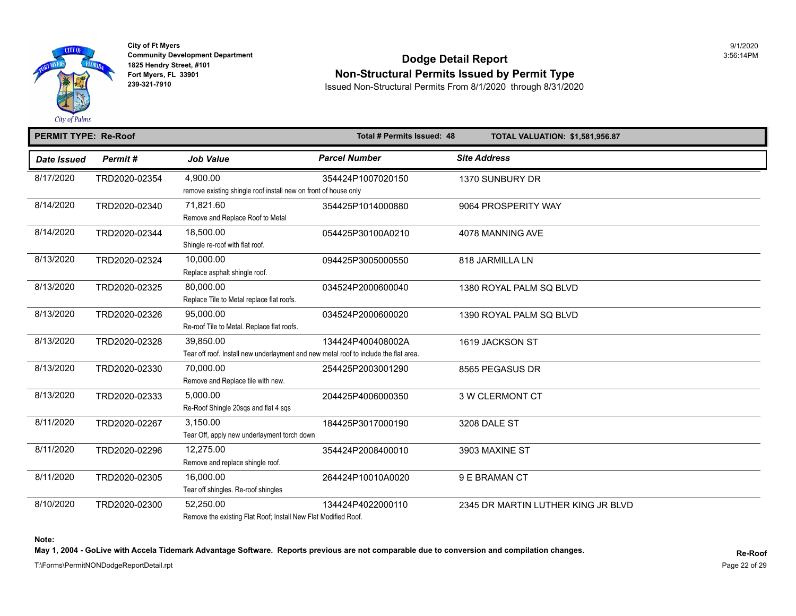

## Community Development Department<br>1825 Hendry Street, #101 **Dodge Detail Report Fort Myers, FL 33901**<br>239-321-7910<br>239-321-7910<br>239-321-7910

**239-321-7910** Issued Non-Structural Permits From 8/1/2020 through 8/31/2020

#### **PERMIT TYPE: Re-Roof Total # Permits Issued: 48 TOTAL VALUATION: \$1,581,956.87**  *Date Issued Permit # Job Value Parcel Number Site Address*  8/17/2020 TRD2020-02354 4,900.00 354424P1007020150 1370 SUNBURY DR remove existing shingle roof install new on front of house only 8/14/2020 TRD2020-02340 71,821.60 354425P1014000880 9064 PROSPERITY WAY Remove and Replace Roof to Metal 8/14/2020 TRD2020-02344 18,500.00 054425P30100A0210 4078 MANNING AVE Shingle re-roof with flat roof. 8/13/2020 TRD2020-02324 10,000.00 094425P3005000550 818 JARMILLA LN Replace asphalt shingle roof. 8/13/2020 TRD2020-02325 80,000.00 034524P2000600040 1380 ROYAL PALM SQ BLVD Replace Tile to Metal replace flat roofs. 8/13/2020 TRD2020-02326 95,000.00 034524P2000600020 1390 ROYAL PALM SQ BLVD Re-roof Tile to Metal. Replace flat roofs. 8/13/2020 TRD2020-02328 39,850.00 134424P400408002A 1619 JACKSON ST Tear off roof. Install new underlayment and new metal roof to include the flat area. 8/13/2020 TRD2020-02330 70,000.00 254425P2003001290 8565 PEGASUS DR Remove and Replace tile with new. 8/13/2020 TRD2020-02333 5,000.00 204425P4006000350 3 W CLERMONT CT Re-Roof Shingle 20sqs and flat 4 sqs 8/11/2020 TRD2020-02267 3,150.00 184425F3017000190 3208 DALE ST Tear Off, apply new underlayment torch down 8/11/2020 TRD2020-02296 12,275.00 354424P2008400010 3903 MAXINE ST Remove and replace shingle roof. 8/11/2020 TRD2020-02305 16,000.00 264424P10010A0020 9 E BRAMAN CT Tear off shingles. Re-roof shingles 8/10/2020 TRD2020-02300 52,250.00 134424P4022000110 2345 DR MARTIN LUTHER KING JR B

Remove the existing Flat Roof; Install New Flat Modified Roof.

May 1, 2004 - GoLive with Accela Tidemark Advantage Software. Reports previous are not comparable due to conversion and compilation changes.

T:\Forms\PermitNONDodgeReportDetail.rpt

**Note:**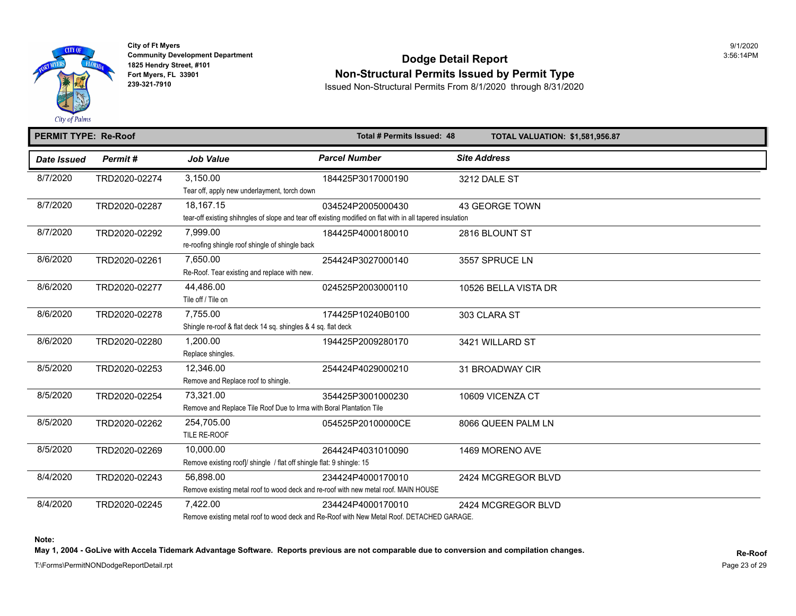

## Community Development Department<br>1825 Hendry Street, #101 **Dodge Detail Report Fort Myers, FL 33901 Non-Structural Permits Issued by Permit Type**<br>239-321-7910 **non-Structural Dermits From 8/1/2020** through 9/24/2020

**239-321-7910** Issued Non-Structural Permits From 8/1/2020 through 8/31/2020

#### **PERMIT TYPE: Re-Roof Total # Permits Issued: 48 TOTAL VALUATION: \$1,581,956.87**  *Date Issued Permit # Job Value Parcel Number Site Address*  8/7/2020 TRD2020-02274 3,150.00 184425P3017000190 3212 DALE ST Tear off, apply new underlayment, torch down 8/7/2020 TRD2020-02287 18,167.15 034524P2005000430 43 GEORGE TOWN tear-off existing shihngles of slope and tear off existing modified on flat with in all tapered insulation 8/7/2020 TRD2020-02292 7,999.00 184425P4000180010 2816 BLOUNT ST re-roofing shingle roof shingle of shingle back 8/6/2020 TRD2020-02261 7,650.00 254424P3027000140 3557 SPRUCE LN Re-Roof. Tear existing and replace with new. 8/6/2020 TRD2020-02277 44,486.00 024525P2003000110 10526 BELLA VISTA DR Tile off / Tile on 8/6/2020 TRD2020-02278 7,755.00 174425P10240B0100 303 CLARA ST Shingle re-roof & flat deck 14 sq. shingles & 4 sq. flat deck 8/6/2020 TRD2020-02280 1,200.00 194425P2009280170 3421 WILLARD ST Replace shingles. 8/5/2020 TRD2020-02253 12,346.00 254424P4029000210 31 BROADWAY CIR Remove and Replace roof to shingle. 8/5/2020 TRD2020-02254 73,321.00 354425P3001000230 10609 VICENZA CT Remove and Replace Tile Roof Due to Irma with Boral Plantation Tile 8/5/2020 TRD2020-02262 254,705.00 054525P20100000CE 8066 QUEEN PALM LN TILE RE-ROOF 8/5/2020 TRD2020-02269 10,000.00 264424P4031010090 1469 MORENO AVE Remove existing roof]/ shingle / flat off shingle flat: 9 shingle: 15 8/4/2020 TRD2020-02243 56,898.00 234424P4000170010 2424 MCGREGOR BLVD Remove existing metal roof to wood deck and re-roof with new metal roof. MAIN HOUSE 8/4/2020 TRD2020-02245 7,422.00 234424P4000170010 2424 MCGREGOR BLVD

Remove existing metal roof to wood deck and Re-Roof with New Metal Roof. DETACHED GARAGE.

**Note:** 

May 1, 2004 - GoLive with Accela Tidemark Advantage Software. Reports previous are not comparable due to conversion and compilation changes.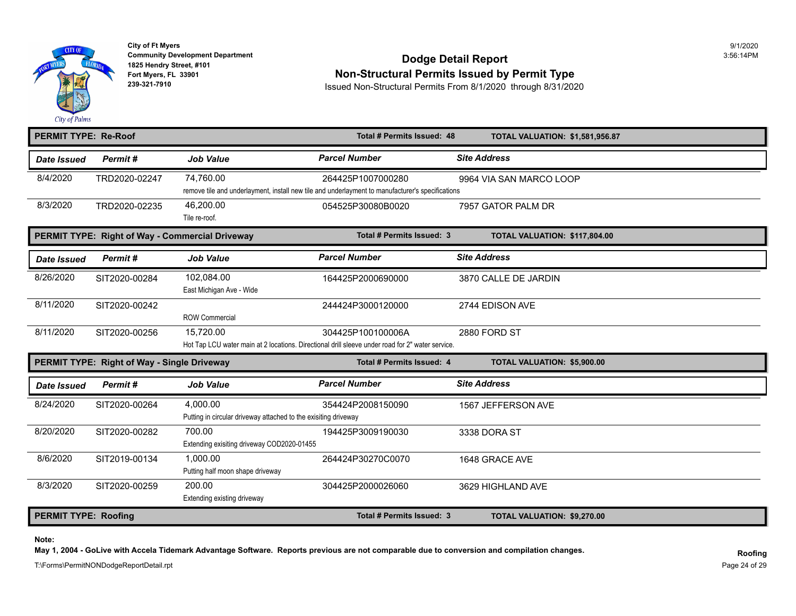

### **Community Development Department** 3:56:14PM **Dodge Detail Report 1825 Hendry Street, #101** 3:56:14PM Fort Myers, FL 33901<br>
Fort Myers, FL 33901<br>
239-321-7910<br>
239-321-7910<br>
Resued Non-Structural Permits From 8/1/2020, through 8/31/2020

**239-321-7910** Issued Non-Structural Permits From 8/1/2020 through 8/31/2020

| <b>PERMIT TYPE: Re-Roof</b> |                                                 |                                                                             | Total # Permits Issued: 48                                                                                            | <b>TOTAL VALUATION: \$1,581,956.87</b> |
|-----------------------------|-------------------------------------------------|-----------------------------------------------------------------------------|-----------------------------------------------------------------------------------------------------------------------|----------------------------------------|
| <b>Date Issued</b>          | Permit#                                         | <b>Job Value</b>                                                            | <b>Parcel Number</b>                                                                                                  | <b>Site Address</b>                    |
| 8/4/2020                    | TRD2020-02247                                   | 74,760.00                                                                   | 264425P1007000280<br>remove tile and underlayment, install new tile and underlayment to manufacturer's specifications | 9964 VIA SAN MARCO LOOP                |
| 8/3/2020                    | TRD2020-02235                                   | 46,200.00<br>Tile re-roof.                                                  | 054525P30080B0020                                                                                                     | 7957 GATOR PALM DR                     |
|                             | PERMIT TYPE: Right of Way - Commercial Driveway |                                                                             | Total # Permits Issued: 3                                                                                             | TOTAL VALUATION: \$117,804.00          |
| <b>Date Issued</b>          | Permit#                                         | <b>Job Value</b>                                                            | <b>Parcel Number</b>                                                                                                  | <b>Site Address</b>                    |
| 8/26/2020                   | SIT2020-00284                                   | 102,084.00<br>East Michigan Ave - Wide                                      | 164425P2000690000                                                                                                     | 3870 CALLE DE JARDIN                   |
| 8/11/2020                   | SIT2020-00242                                   | <b>ROW Commercial</b>                                                       | 244424P3000120000                                                                                                     | 2744 EDISON AVE                        |
| 8/11/2020                   | SIT2020-00256                                   | 15,720.00                                                                   | 304425P100100006A<br>Hot Tap LCU water main at 2 locations. Directional drill sleeve under road for 2" water service. | 2880 FORD ST                           |
|                             | PERMIT TYPE: Right of Way - Single Driveway     |                                                                             | Total # Permits Issued: 4                                                                                             | <b>TOTAL VALUATION: \$5,900.00</b>     |
| Date Issued                 | Permit#                                         | <b>Job Value</b>                                                            | <b>Parcel Number</b>                                                                                                  | <b>Site Address</b>                    |
| 8/24/2020                   | SIT2020-00264                                   | 4,000.00<br>Putting in circular driveway attached to the exisiting driveway | 354424P2008150090                                                                                                     | 1567 JEFFERSON AVE                     |
| 8/20/2020                   | SIT2020-00282                                   | 700.00<br>Extending exisiting driveway COD2020-01455                        | 194425P3009190030                                                                                                     | 3338 DORA ST                           |
| 8/6/2020                    | SIT2019-00134                                   | 1,000.00<br>Putting half moon shape driveway                                | 264424P30270C0070                                                                                                     | 1648 GRACE AVE                         |
| 8/3/2020                    | SIT2020-00259                                   | 200.00<br>Extending existing driveway                                       | 304425P2000026060                                                                                                     | 3629 HIGHLAND AVE                      |
| <b>PERMIT TYPE: Roofing</b> |                                                 |                                                                             | Total # Permits Issued: 3                                                                                             | TOTAL VALUATION: \$9,270.00            |

**Note:** 

**May 1, 2004 - GoLive with Accela Tidemark Advantage Software. Reports previous are not comparable due to conversion and compilation changes.**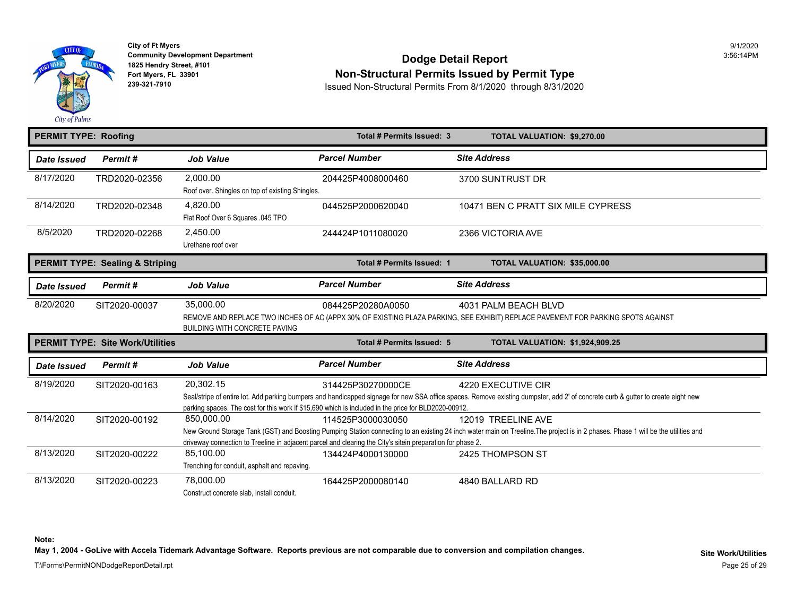

## **Community Deve[lopment De](https://2,450.00)partment**<br>1825 Hendry Street, #101 Fort Myers, FL 33901<br>Fort Myers, FL 33901 **Non-Structural Permits Issued by Permit Type**<br>239-321-7910 **Permits From 8/1/2020** through 8/31/2020

**239-321-7910** Issued Non-Structural Permits From 8/1/2020 through 8/31/2020

| <b>PERMIT TYPE: Roofing</b> |                                            |                                                              | Total # Permits Issued: 3                                                                                                       | TOTAL VALUATION: \$9,270.00                                                                                                                                            |
|-----------------------------|--------------------------------------------|--------------------------------------------------------------|---------------------------------------------------------------------------------------------------------------------------------|------------------------------------------------------------------------------------------------------------------------------------------------------------------------|
| <b>Date Issued</b>          | Permit#                                    | <b>Job Value</b>                                             | <b>Parcel Number</b>                                                                                                            | <b>Site Address</b>                                                                                                                                                    |
| 8/17/2020                   | TRD2020-02356                              | 2.000.00<br>Roof over. Shingles on top of existing Shingles. | 204425P4008000460                                                                                                               | 3700 SUNTRUST DR                                                                                                                                                       |
| 8/14/2020                   | TRD2020-02348                              | 4,820.00<br>Flat Roof Over 6 Squares 045 TPO                 | 044525P2000620040                                                                                                               | 10471 BEN C PRATT SIX MILE CYPRI                                                                                                                                       |
| 8/5/2020                    | TRD2020-02268                              | 2,450.00<br>Urethane roof over                               | 244424P1011080020                                                                                                               | 2366 VICTORIA AVE                                                                                                                                                      |
|                             | <b>PERMIT TYPE: Sealing &amp; Striping</b> |                                                              | Total # Permits Issued: 1                                                                                                       | TOTAL VALUATION: \$35,000.00                                                                                                                                           |
| Date Issued                 | Permit#                                    | <b>Job Value</b>                                             | <b>Parcel Number</b>                                                                                                            | <b>Site Address</b>                                                                                                                                                    |
| 8/20/2020                   | SIT2020-00037                              | 35,000.00                                                    | 084425P20280A0050                                                                                                               | 4031 PALM BEACH BLVD<br>REMOVE AND REPLACE TWO INCHES OF AC (APPX 30% OF EXISTING PLAZA PARKING, SEE EXHIBIT) REPLACE PAVEMENT FOR PARKIN                              |
|                             |                                            | <b>BUILDING WITH CONCRETE PAVING</b>                         |                                                                                                                                 |                                                                                                                                                                        |
|                             | <b>PERMIT TYPE: Site Work/Utilities</b>    |                                                              | Total # Permits Issued: 5                                                                                                       | <b>TOTAL VALUATION: \$1,924,909.2</b>                                                                                                                                  |
| Date Issued                 | Permit#                                    | <b>Job Value</b>                                             | <b>Parcel Number</b>                                                                                                            | <b>Site Address</b>                                                                                                                                                    |
| 8/19/2020                   | SIT2020-00163                              | 20,302.15                                                    | 314425P30270000CE<br>parking spaces. The cost for this work if \$15,690 which is included in the price for BLD2020-00912.       | 4220 EXECUTIVE CIR                                                                                                                                                     |
| 8/14/2020                   | SIT2020-00192                              | 850.000.00                                                   | 114525P3000030050                                                                                                               | 12019 TREELINE AVE<br>New Ground Storage Tank (GST) and Boosting Pumping Station connecting to an existing 24 inch water main on Treeline. The project is in 2 phases. |
| 8/13/2020                   | SIT2020-00222                              | 85,100.00<br>Trenching for conduit, asphalt and repaving.    | driveway connection to Treeline in adjacent parcel and clearing the City's sitein preparation for phase 2.<br>134424P4000130000 | Seal/stripe of entire lot. Add parking bumpers and handicapped signage for new SSA office spaces. Remove existing dumpster, add 2' of concrete cur<br>2425 THOMPSON ST |

**Note:** 

May 1, 2004 - GoLive with Accela Tidemark Advantage Software. Reports previous are not comparable due to conversion and compilation changes.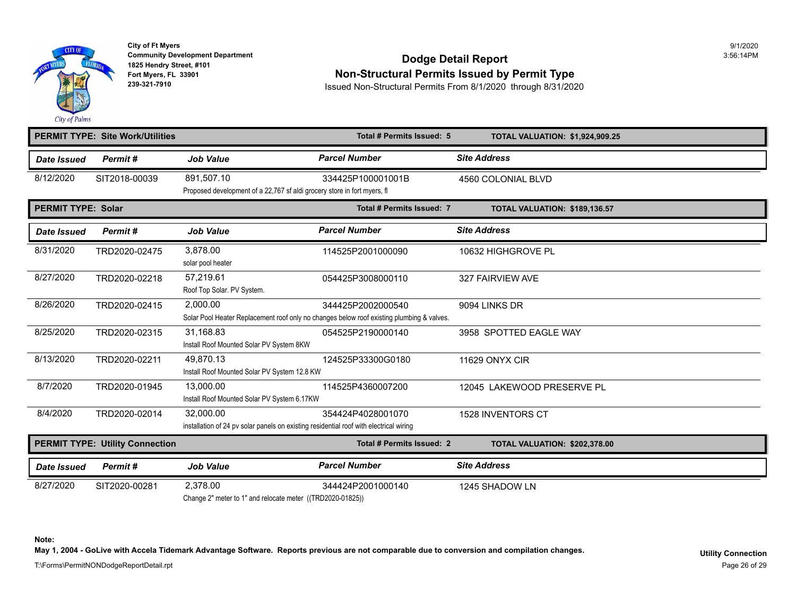

## **Community Development Department**<br>1825 Hendry Street, #101 **Dodge Detail Report** Fort Myers, FL 33901<br>
Fort Myers, FL 33901<br> **Rouged Non-Structural Permits Issued by Permit Type**<br>
Issued Non-Structural Permits From 8/1/2020, through 8/31/202

**239-321-7910** Issued Non-Structural Permits From 8/1/2020 through 8/31/2020

|                           | <b>PERMIT TYPE: Site Work/Utilities</b> |                                                                                                     | Total # Permits Issued: 5                                                                                      | <b>TOTAL VALUATION: \$1,924,909.2</b> |
|---------------------------|-----------------------------------------|-----------------------------------------------------------------------------------------------------|----------------------------------------------------------------------------------------------------------------|---------------------------------------|
| Date Issued               | Permit#                                 | <b>Job Value</b>                                                                                    | <b>Parcel Number</b>                                                                                           | <b>Site Address</b>                   |
| 8/12/2020                 | SIT2018-00039                           | 891.507.10<br>Proposed development of a 22,767 sf aldi grocery store in fort myers, fl              | 334425P100001001B                                                                                              | 4560 COLONIAL BLVD                    |
| <b>PERMIT TYPE: Solar</b> |                                         |                                                                                                     | Total # Permits Issued: 7                                                                                      | TOTAL VALUATION: \$189,136.57         |
| Date Issued               | Permit#                                 | <b>Job Value</b>                                                                                    | <b>Parcel Number</b>                                                                                           | <b>Site Address</b>                   |
| 8/31/2020                 | TRD2020-02475                           | 3.878.00<br>solar pool heater                                                                       | 114525P2001000090                                                                                              | 10632 HIGHGROVE PL                    |
| 8/27/2020                 | TRD2020-02218                           | 57,219.61<br>Roof Top Solar. PV System.                                                             | 054425P3008000110                                                                                              | 327 FAIRVIEW AVE                      |
| 8/26/2020                 | TRD2020-02415                           | 2,000.00                                                                                            | 344425P2002000540<br>Solar Pool Heater Replacement roof only no changes below roof existing plumbing & valves. | 9094 LINKS DR                         |
| 8/25/2020                 | TRD2020-02315                           | 31,168.83<br>Install Roof Mounted Solar PV System 8KW                                               | 054525P2190000140                                                                                              | 3958 SPOTTED EAGLE WAY                |
| 8/13/2020                 | TRD2020-02211                           | 49,870.13<br>Install Roof Mounted Solar PV System 12.8 KW                                           | 124525P33300G0180                                                                                              | <b>11629 ONYX CIR</b>                 |
| 8/7/2020                  | TRD2020-01945                           | 13.000.00<br>Install Roof Mounted Solar PV System 6.17KW                                            | 114525P4360007200                                                                                              | 12045 LAKEWOOD PRESERVE PL            |
| 8/4/2020                  | TRD2020-02014                           | 32,000.00<br>installation of 24 pv solar panels on existing residential roof with electrical wiring | 354424P4028001070                                                                                              | <b>1528 INVENTORS CT</b>              |
|                           | <b>PERMIT TYPE: Utility Connection</b>  |                                                                                                     | Total # Permits Issued: 2                                                                                      | <b>TOTAL VALUATION: \$202,378.00</b>  |
| <b>Date Issued</b>        | Permit#                                 | <b>Job Value</b>                                                                                    | <b>Parcel Number</b>                                                                                           | <b>Site Address</b>                   |
| 8/27/2020                 | SIT2020-00281                           | 2,378.00                                                                                            | 344424P2001000140                                                                                              | 1245 SHADOW LN                        |

Change 2" meter to 1" and relocate meter ((TRD2020-01825))

**Note:**  May 1, 2004 - GoLive with Accela Tidemark Advantage Software. Reports previous are not comparable due to conversion and compilation changes.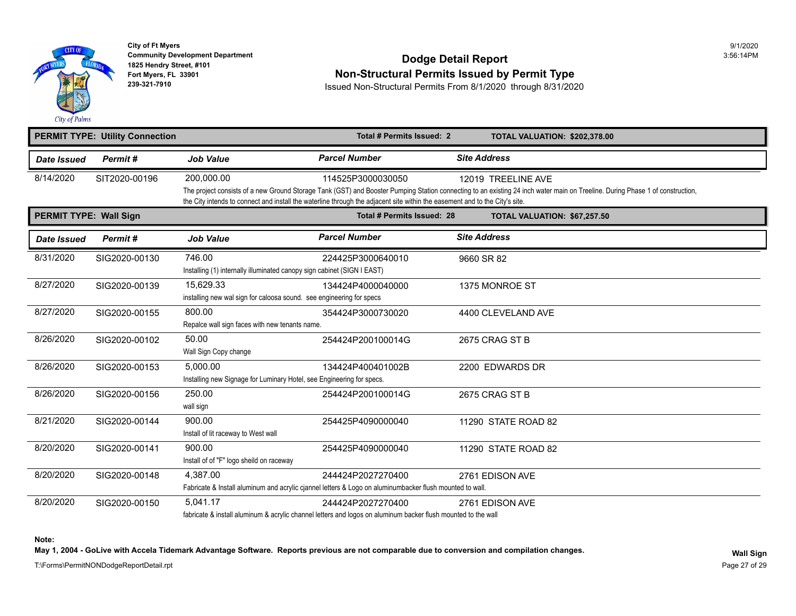

# **Community Development Department**<br>1825 Hendry Street, #101 **Dodge Detail Report** Fort Myers, FL 33901<br>Fort Myers, FL 33901 **Non-Structural Permits Issued by Permit Type**<br>239-321-7910 **Permits From 8/1/2020** through 8/31/2020

**239-321-7910** Issued Non-Structural Permits From 8/1/2020 through 8/31/2020

|                               | <b>PERMIT TYPE: Utility Connection</b> |                                                                                   | Total # Permits Issued: 2                                                                                                                        | <b>TOTAL VALUATION: \$202,378.00</b>                                                                                                                                   |
|-------------------------------|----------------------------------------|-----------------------------------------------------------------------------------|--------------------------------------------------------------------------------------------------------------------------------------------------|------------------------------------------------------------------------------------------------------------------------------------------------------------------------|
| Date Issued                   | Permit#                                | <b>Job Value</b>                                                                  | <b>Parcel Number</b>                                                                                                                             | <b>Site Address</b>                                                                                                                                                    |
| 8/14/2020                     | SIT2020-00196                          | 200.000.00                                                                        | 114525P3000030050<br>the City intends to connect and install the waterline through the adjacent site within the easement and to the City's site. | 12019 TREELINE AVE<br>The project consists of a new Ground Storage Tank (GST) and Booster Pumping Station connecting to an existing 24 inch water main on Treeline. Du |
| <b>PERMIT TYPE: Wall Sign</b> |                                        |                                                                                   | Total # Permits Issued: 28                                                                                                                       | TOTAL VALUATION: \$67,257.50                                                                                                                                           |
| <b>Date Issued</b>            | Permit#                                | <b>Job Value</b>                                                                  | <b>Parcel Number</b>                                                                                                                             | <b>Site Address</b>                                                                                                                                                    |
| 8/31/2020                     | SIG2020-00130                          | 746.00<br>Installing (1) internally illuminated canopy sign cabinet (SIGN I EAST) | 224425P3000640010                                                                                                                                | 9660 SR 82                                                                                                                                                             |
| 8/27/2020                     | SIG2020-00139                          | 15,629.33<br>installing new wal sign for caloosa sound. see engineering for specs | 134424P4000040000                                                                                                                                | 1375 MONROE ST                                                                                                                                                         |
| 8/27/2020                     | SIG2020-00155                          | 800.00<br>Repalce wall sign faces with new tenants name.                          | 354424P3000730020                                                                                                                                | 4400 CLEVELAND AVE                                                                                                                                                     |
| 8/26/2020                     | SIG2020-00102                          | 50.00<br>Wall Sign Copy change                                                    | 254424P200100014G                                                                                                                                | 2675 CRAG ST B                                                                                                                                                         |
| 8/26/2020                     | SIG2020-00153                          | 5,000.00<br>Installing new Signage for Luminary Hotel, see Engineering for specs. | 134424P400401002B                                                                                                                                | 2200 EDWARDS DR                                                                                                                                                        |
| 8/26/2020                     | SIG2020-00156                          | 250.00<br>wall sign                                                               | 254424P200100014G                                                                                                                                | 2675 CRAG ST B                                                                                                                                                         |
| 8/21/2020                     | SIG2020-00144                          | 900.00<br>Install of lit raceway to West wall                                     | 254425P4090000040                                                                                                                                | 11290 STATE ROAD 82                                                                                                                                                    |
| 8/20/2020                     | SIG2020-00141                          | 900.00<br>Install of of "F" logo sheild on raceway                                | 254425P4090000040                                                                                                                                | 11290 STATE ROAD 82                                                                                                                                                    |
| 8/20/2020                     | SIG2020-00148                          | 4,387.00                                                                          | 244424P2027270400<br>Fabricate & Install aluminum and acrylic cjannel letters & Logo on aluminumbacker flush mounted to wall.                    | 2761 EDISON AVE                                                                                                                                                        |
| 8/20/2020                     | SIG2020-00150                          | 5.041.17                                                                          | 244424P2027270400<br>febricate 8 install eliminium 8 condicionale decense letters and longe an eliminium boolise flugh mounted to the well       | 2761 EDISON AVE                                                                                                                                                        |

fabricate & install aluminum & acrylic channel letters and logos on aluminum backer flush mounted to the wall

**Note:** 

May 1, 2004 - GoLive with Accela Tidemark Advantage Software. Reports previous are not comparable due to conversion and compilation changes.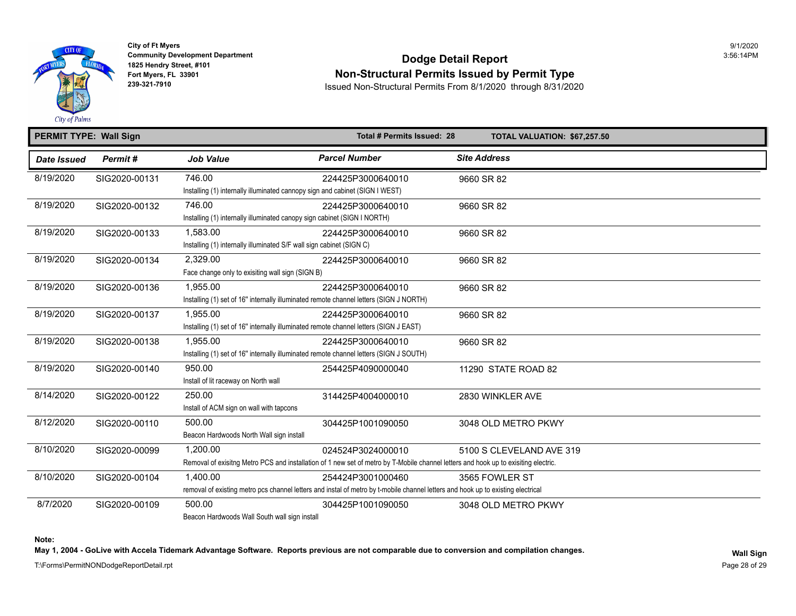

### **Community Development Department** 3:56:14PM **Dodge Detail Report 1825 Hendry Street, #101** 3:56:14PM Fort Myers, FL 33901<br>
Fort Myers, FL 33901<br>
239-321-7910<br>
239-321-7910<br>
Resued Non-Structural Permits From 8/1/2020, through 8/31/2020

**239-321-7910** Issued Non-Structural Permits From 8/1/2020 through 8/31/2020

| <b>PERMIT TYPE: Wall Sign</b> |               |                                                                                        | Total # Permits Issued: 28                                                                                                          | TOTAL VALUATION: \$67,257.50 |  |
|-------------------------------|---------------|----------------------------------------------------------------------------------------|-------------------------------------------------------------------------------------------------------------------------------------|------------------------------|--|
| <b>Date Issued</b>            | Permit#       | <b>Job Value</b>                                                                       | <b>Parcel Number</b>                                                                                                                | <b>Site Address</b>          |  |
| 8/19/2020                     | SIG2020-00131 | 746.00                                                                                 | 224425P3000640010                                                                                                                   | 9660 SR 82                   |  |
|                               |               | Installing (1) internally illuminated cannopy sign and cabinet (SIGN I WEST)           |                                                                                                                                     |                              |  |
| 8/19/2020                     | SIG2020-00132 | 746.00                                                                                 | 224425P3000640010                                                                                                                   | 9660 SR 82                   |  |
|                               |               | Installing (1) internally illuminated canopy sign cabinet (SIGN I NORTH)               |                                                                                                                                     |                              |  |
| 8/19/2020                     | SIG2020-00133 | 1,583.00                                                                               | 224425P3000640010                                                                                                                   | 9660 SR 82                   |  |
|                               |               | Installing (1) internally illuminated S/F wall sign cabinet (SIGN C)                   |                                                                                                                                     |                              |  |
| 8/19/2020                     | SIG2020-00134 | 2,329.00                                                                               | 224425P3000640010                                                                                                                   | 9660 SR 82                   |  |
|                               |               | Face change only to exisiting wall sign (SIGN B)                                       |                                                                                                                                     |                              |  |
| 8/19/2020                     | SIG2020-00136 | 1,955.00                                                                               | 224425P3000640010                                                                                                                   | 9660 SR 82                   |  |
|                               |               | Installing (1) set of 16" internally illuminated remote channel letters (SIGN J NORTH) |                                                                                                                                     |                              |  |
| 8/19/2020                     | SIG2020-00137 | 1.955.00                                                                               | 224425P3000640010                                                                                                                   | 9660 SR 82                   |  |
|                               |               | Installing (1) set of 16" internally illuminated remote channel letters (SIGN J EAST)  |                                                                                                                                     |                              |  |
| 8/19/2020                     | SIG2020-00138 | 1,955.00                                                                               | 224425P3000640010                                                                                                                   | 9660 SR 82                   |  |
|                               |               | Installing (1) set of 16" internally illuminated remote channel letters (SIGN J SOUTH) |                                                                                                                                     |                              |  |
| 8/19/2020                     | SIG2020-00140 | 950.00                                                                                 | 254425P4090000040                                                                                                                   | 11290 STATE ROAD 82          |  |
|                               |               | Install of lit raceway on North wall                                                   |                                                                                                                                     |                              |  |
| 8/14/2020                     | SIG2020-00122 | 250.00                                                                                 | 314425P4004000010                                                                                                                   | 2830 WINKLER AVE             |  |
|                               |               | Install of ACM sign on wall with tapcons                                               |                                                                                                                                     |                              |  |
| 8/12/2020                     | SIG2020-00110 | 500.00                                                                                 | 304425P1001090050                                                                                                                   | 3048 OLD METRO PKWY          |  |
|                               |               | Beacon Hardwoods North Wall sign install                                               |                                                                                                                                     |                              |  |
| 8/10/2020                     | SIG2020-00099 | 1,200.00                                                                               | 024524P3024000010                                                                                                                   | 5100 S CLEVELAND AVE 319     |  |
|                               |               |                                                                                        | Removal of exisitng Metro PCS and installation of 1 new set of metro by T-Mobile channel letters and hook up to exisiting electric. |                              |  |
| 8/10/2020                     | SIG2020-00104 | 1,400.00                                                                               | 254424P3001000460                                                                                                                   | 3565 FOWLER ST               |  |
|                               |               |                                                                                        | removal of existing metro pcs channel letters and instal of metro by t-mobile channel letters and hook up to existing electrical    |                              |  |
| 8/7/2020                      | SIG2020-00109 | 500.00                                                                                 | 304425P1001090050                                                                                                                   | 3048 OLD METRO PKWY          |  |
|                               |               | Beacon Hardwoods Wall South wall sign install                                          |                                                                                                                                     |                              |  |

**Note:** 

May 1, 2004 - GoLive with Accela Tidemark Advantage Software. Reports previous are not comparable due to conversion and compilation changes.<br>Wall Sign

T:\Forms\PermitNONDodgeReportDetail.rpt Page 28 of 29